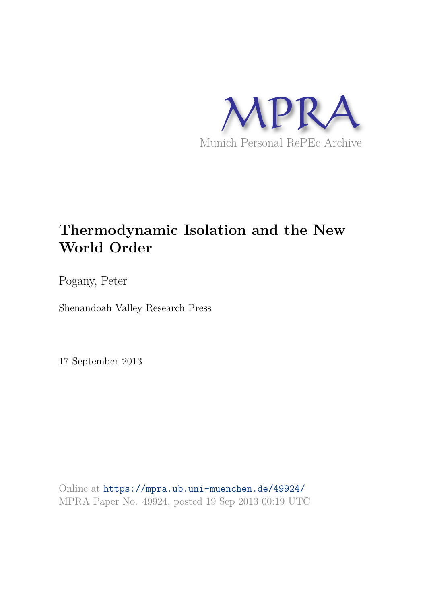

# **Thermodynamic Isolation and the New World Order**

Pogany, Peter

Shenandoah Valley Research Press

17 September 2013

Online at https://mpra.ub.uni-muenchen.de/49924/ MPRA Paper No. 49924, posted 19 Sep 2013 00:19 UTC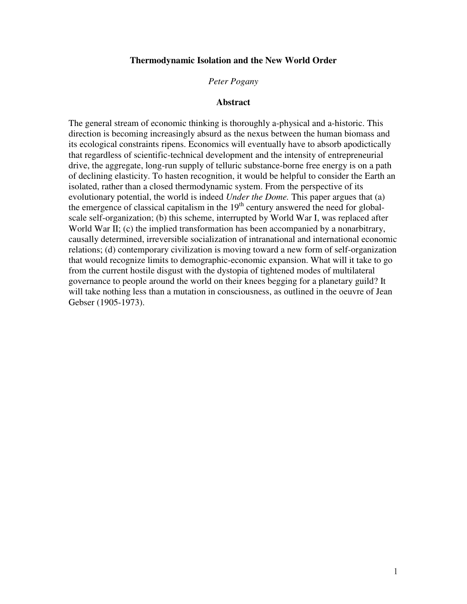#### **Thermodynamic Isolation and the New World Order**

#### *Peter Pogany*

#### **Abstract**

The general stream of economic thinking is thoroughly a-physical and a-historic. This direction is becoming increasingly absurd as the nexus between the human biomass and its ecological constraints ripens. Economics will eventually have to absorb apodictically that regardless of scientific-technical development and the intensity of entrepreneurial drive, the aggregate, long-run supply of telluric substance-borne free energy is on a path of declining elasticity. To hasten recognition, it would be helpful to consider the Earth an isolated, rather than a closed thermodynamic system. From the perspective of its evolutionary potential, the world is indeed *Under the Dome.* This paper argues that (a) the emergence of classical capitalism in the  $19<sup>th</sup>$  century answered the need for globalscale self-organization; (b) this scheme, interrupted by World War I, was replaced after World War II; (c) the implied transformation has been accompanied by a nonarbitrary, causally determined, irreversible socialization of intranational and international economic relations; (d) contemporary civilization is moving toward a new form of self-organization that would recognize limits to demographic-economic expansion. What will it take to go from the current hostile disgust with the dystopia of tightened modes of multilateral governance to people around the world on their knees begging for a planetary guild? It will take nothing less than a mutation in consciousness, as outlined in the oeuvre of Jean Gebser (1905-1973).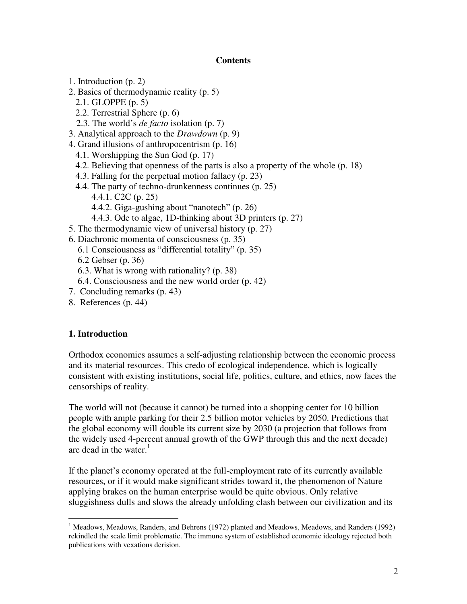## **Contents**

- 1. Introduction (p. 2)
- 2. Basics of thermodynamic reality (p. 5)
	- 2.1. GLOPPE (p. 5)
	- 2.2. Terrestrial Sphere (p. 6)
	- 2.3. The world's *de facto* isolation (p. 7)
- 3. Analytical approach to the *Drawdown* (p. 9)
- 4. Grand illusions of anthropocentrism (p. 16)
	- 4.1. Worshipping the Sun God (p. 17)
	- 4.2. Believing that openness of the parts is also a property of the whole (p. 18)
	- 4.3. Falling for the perpetual motion fallacy (p. 23)
	- 4.4. The party of techno-drunkenness continues (p. 25)
		- 4.4.1. C2C (p. 25)
		- 4.4.2. Giga-gushing about "nanotech" (p. 26)
		- 4.4.3. Ode to algae, 1D-thinking about 3D printers (p. 27)
- 5. The thermodynamic view of universal history (p. 27)
- 6. Diachronic momenta of consciousness (p. 35)
	- 6.1 Consciousness as "differential totality" (p. 35)
	- 6.2 Gebser (p. 36)
	- 6.3. What is wrong with rationality? (p. 38)
	- 6.4. Consciousness and the new world order (p. 42)
- 7. Concluding remarks (p. 43)
- 8. References (p. 44)

# **1. Introduction**

Orthodox economics assumes a self-adjusting relationship between the economic process and its material resources. This credo of ecological independence, which is logically consistent with existing institutions, social life, politics, culture, and ethics, now faces the censorships of reality.

The world will not (because it cannot) be turned into a shopping center for 10 billion people with ample parking for their 2.5 billion motor vehicles by 2050. Predictions that the global economy will double its current size by 2030 (a projection that follows from the widely used 4-percent annual growth of the GWP through this and the next decade) are dead in the water. $<sup>1</sup>$ </sup>

If the planet's economy operated at the full-employment rate of its currently available resources, or if it would make significant strides toward it, the phenomenon of Nature applying brakes on the human enterprise would be quite obvious. Only relative sluggishness dulls and slows the already unfolding clash between our civilization and its

 $\overline{a}$ <sup>1</sup> Meadows, Meadows, Randers, and Behrens (1972) planted and Meadows, Meadows, and Randers (1992) rekindled the scale limit problematic. The immune system of established economic ideology rejected both publications with vexatious derision.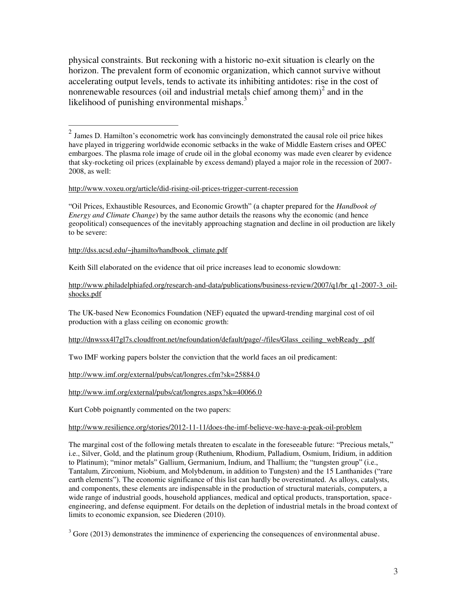physical constraints. But reckoning with a historic no-exit situation is clearly on the horizon. The prevalent form of economic organization, which cannot survive without accelerating output levels, tends to activate its inhibiting antidotes: rise in the cost of nonrenewable resources (oil and industrial metals chief among them) $2$  and in the likelihood of punishing environmental mishaps.<sup>3</sup>

#### <http://www.voxeu.org/article/did-rising-oil-prices-trigger-current-recession>

"Oil Prices, Exhaustible Resources, and Economic Growth" (a chapter prepared for the *Handbook of Energy and Climate Change*) by the same author details the reasons why the economic (and hence geopolitical) consequences of the inevitably approaching stagnation and decline in oil production are likely to be severe:

[http://dss.ucsd.edu/~jhamilto/handbook\\_climate.pdf](http://dss.ucsd.edu/~jhamilto/handbook_climate.pdf)

Keith Sill elaborated on the evidence that oil price increases lead to economic slowdown:

[http://www.philadelphiafed.org/research-and-data/publications/business-review/2007/q1/br\\_q1-2007-3\\_oil](http://www.philadelphiafed.org/research-and-data/publications/business-review/2007/q1/br_q1-2007-3_oil-shocks.pdf)[shocks.pdf](http://www.philadelphiafed.org/research-and-data/publications/business-review/2007/q1/br_q1-2007-3_oil-shocks.pdf)

The UK-based New Economics Foundation (NEF) equated the upward-trending marginal cost of oil production with a glass ceiling on economic growth:

[http://dnwssx4l7gl7s.cloudfront.net/nefoundation/default/page/-/files/Glass\\_ceiling\\_webReady\\_.pdf](http://dnwssx4l7gl7s.cloudfront.net/nefoundation/default/page/-/files/Glass_ceiling_webReady_.pdf)

Two IMF working papers bolster the conviction that the world faces an oil predicament:

<http://www.imf.org/external/pubs/cat/longres.cfm?sk=25884.0>

<http://www.imf.org/external/pubs/cat/longres.aspx?sk=40066.0>

Kurt Cobb poignantly commented on the two papers:

#### <http://www.resilience.org/stories/2012-11-11/does-the-imf-believe-we-have-a-peak-oil-problem>

The marginal cost of the following metals threaten to escalate in the foreseeable future: "Precious metals," i.e., Silver, Gold, and the platinum group (Ruthenium, Rhodium, Palladium, Osmium, Iridium, in addition to Platinum); "minor metals" Gallium, Germanium, Indium, and Thallium; the "tungsten group" (i.e., Tantalum, Zirconium, Niobium, and Molybdenum, in addition to Tungsten) and the 15 Lanthanides ("rare earth elements"). The economic significance of this list can hardly be overestimated. As alloys, catalysts, and components, these elements are indispensable in the production of structural materials, computers, a wide range of industrial goods, household appliances, medical and optical products, transportation, spaceengineering, and defense equipment. For details on the depletion of industrial metals in the broad context of limits to economic expansion, see Diederen (2010).

 $3$  Gore (2013) demonstrates the imminence of experiencing the consequences of environmental abuse.

<sup>&</sup>lt;sup>2</sup> James D. Hamilton's econometric work has convincingly demonstrated the causal role oil price hikes have played in triggering worldwide economic setbacks in the wake of Middle Eastern crises and OPEC embargoes. The plasma role image of crude oil in the global economy was made even clearer by evidence that sky-rocketing oil prices (explainable by excess demand) played a major role in the recession of 2007- 2008, as well: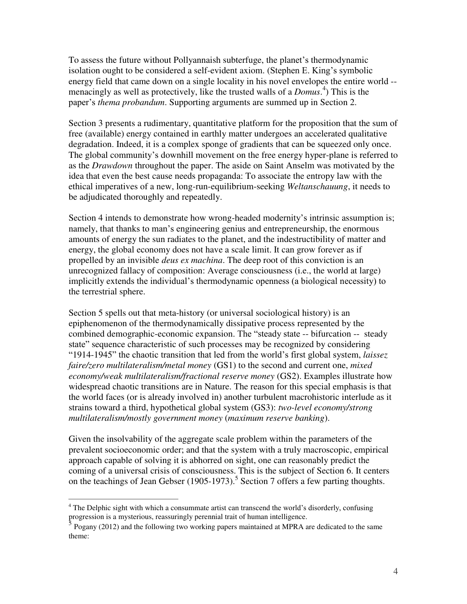To assess the future without Pollyannaish subterfuge, the planet's thermodynamic isolation ought to be considered a self-evident axiom. (Stephen E. King's symbolic energy field that came down on a single locality in his novel envelopes the entire world - menacingly as well as protectively, like the trusted walls of a *Domus*. 4 ) This is the paper's *thema probandum*. Supporting arguments are summed up in Section 2.

Section 3 presents a rudimentary, quantitative platform for the proposition that the sum of free (available) energy contained in earthly matter undergoes an accelerated qualitative degradation. Indeed, it is a complex sponge of gradients that can be squeezed only once. The global community's downhill movement on the free energy hyper-plane is referred to as the *Drawdown* throughout the paper. The aside on Saint Anselm was motivated by the idea that even the best cause needs propaganda: To associate the entropy law with the ethical imperatives of a new, long-run-equilibrium-seeking *Weltanschauung*, it needs to be adjudicated thoroughly and repeatedly.

Section 4 intends to demonstrate how wrong-headed modernity's intrinsic assumption is; namely, that thanks to man's engineering genius and entrepreneurship, the enormous amounts of energy the sun radiates to the planet, and the indestructibility of matter and energy, the global economy does not have a scale limit. It can grow forever as if propelled by an invisible *deus ex machina*. The deep root of this conviction is an unrecognized fallacy of composition: Average consciousness (i.e., the world at large) implicitly extends the individual's thermodynamic openness (a biological necessity) to the terrestrial sphere.

Section 5 spells out that meta-history (or universal sociological history) is an epiphenomenon of the thermodynamically dissipative process represented by the combined demographic-economic expansion. The "steady state -- bifurcation -- steady state" sequence characteristic of such processes may be recognized by considering "1914-1945" the chaotic transition that led from the world's first global system, *laissez faire/zero multilateralism/metal money* (GS1) to the second and current one, *mixed economy/weak multilateralism/fractional reserve money* (GS2). Examples illustrate how widespread chaotic transitions are in Nature. The reason for this special emphasis is that the world faces (or is already involved in) another turbulent macrohistoric interlude as it strains toward a third, hypothetical global system (GS3): *two-level economy/strong multilateralism/mostly government money* (*maximum reserve banking*).

Given the insolvability of the aggregate scale problem within the parameters of the prevalent socioeconomic order; and that the system with a truly macroscopic, empirical approach capable of solving it is abhorred on sight, one can reasonably predict the coming of a universal crisis of consciousness. This is the subject of Section 6. It centers on the teachings of Jean Gebser  $(1905-1973)$ .<sup>5</sup> Section 7 offers a few parting thoughts.

 $\overline{a}$ <sup>4</sup> The Delphic sight with which a consummate artist can transcend the world's disorderly, confusing progression is a mysterious, reassuringly perennial trait of human intelligence.

<sup>5</sup> Pogany (2012) and the following two working papers maintained at MPRA are dedicated to the same theme: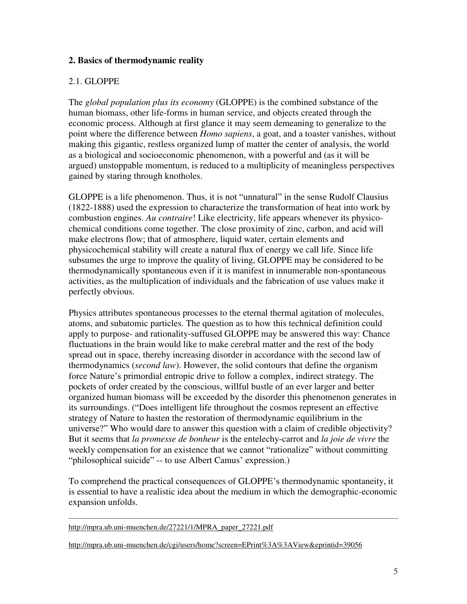# **2. Basics of thermodynamic reality**

# 2.1. GLOPPE

The *global population plus its economy* (GLOPPE) is the combined substance of the human biomass, other life-forms in human service, and objects created through the economic process. Although at first glance it may seem demeaning to generalize to the point where the difference between *Homo sapiens*, a goat, and a toaster vanishes, without making this gigantic, restless organized lump of matter the center of analysis, the world as a biological and socioeconomic phenomenon, with a powerful and (as it will be argued) unstoppable momentum, is reduced to a multiplicity of meaningless perspectives gained by staring through knotholes.

GLOPPE is a life phenomenon. Thus, it is not "unnatural" in the sense Rudolf Clausius (1822-1888) used the expression to characterize the transformation of heat into work by combustion engines. *Au contraire*! Like electricity, life appears whenever its physicochemical conditions come together. The close proximity of zinc, carbon, and acid will make electrons flow; that of atmosphere, liquid water, certain elements and physicochemical stability will create a natural flux of energy we call life. Since life subsumes the urge to improve the quality of living, GLOPPE may be considered to be thermodynamically spontaneous even if it is manifest in innumerable non-spontaneous activities, as the multiplication of individuals and the fabrication of use values make it perfectly obvious.

Physics attributes spontaneous processes to the eternal thermal agitation of molecules, atoms, and subatomic particles. The question as to how this technical definition could apply to purpose- and rationality-suffused GLOPPE may be answered this way: Chance fluctuations in the brain would like to make cerebral matter and the rest of the body spread out in space, thereby increasing disorder in accordance with the second law of thermodynamics (*second law*). However, the solid contours that define the organism force Nature's primordial entropic drive to follow a complex, indirect strategy. The pockets of order created by the conscious, willful bustle of an ever larger and better organized human biomass will be exceeded by the disorder this phenomenon generates in its surroundings. ("Does intelligent life throughout the cosmos represent an effective strategy of Nature to hasten the restoration of thermodynamic equilibrium in the universe?" Who would dare to answer this question with a claim of credible objectivity? But it seems that *la promesse de bonheur* is the entelechy-carrot and *la joie de vivre* the weekly compensation for an existence that we cannot "rationalize" without committing "philosophical suicide" -- to use Albert Camus' expression.)

To comprehend the practical consequences of GLOPPE's thermodynamic spontaneity, it is essential to have a realistic idea about the medium in which the demographic-economic expansion unfolds.

[http://mpra.ub.uni-muenchen.de/27221/1/MPRA\\_paper\\_27221.pdf](http://mpra.ub.uni-muenchen.de/27221/1/MPRA_paper_27221.pdf)

 $\overline{a}$ 

<http://mpra.ub.uni-muenchen.de/cgi/users/home?screen=EPrint%3A%3AView&eprintid=39056>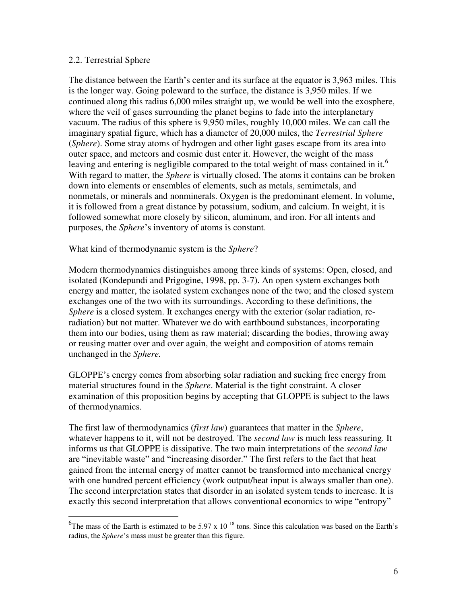#### 2.2. Terrestrial Sphere

The distance between the Earth's center and its surface at the equator is 3,963 miles. This is the longer way. Going poleward to the surface, the distance is 3,950 miles. If we continued along this radius 6,000 miles straight up, we would be well into the exosphere, where the veil of gases surrounding the planet begins to fade into the interplanetary vacuum. The radius of this sphere is 9,950 miles, roughly 10,000 miles. We can call the imaginary spatial figure, which has a diameter of 20,000 miles, the *Terrestrial Sphere*  (*Sphere*). Some stray atoms of hydrogen and other light gases escape from its area into outer space, and meteors and cosmic dust enter it. However, the weight of the mass leaving and entering is negligible compared to the total weight of mass contained in it.<sup>6</sup> With regard to matter, the *Sphere* is virtually closed. The atoms it contains can be broken down into elements or ensembles of elements, such as metals, semimetals, and nonmetals, or minerals and nonminerals. Oxygen is the predominant element. In volume, it is followed from a great distance by potassium, sodium, and calcium. In weight, it is followed somewhat more closely by silicon, aluminum, and iron. For all intents and purposes, the *Sphere*'s inventory of atoms is constant.

What kind of thermodynamic system is the *Sphere*?

Modern thermodynamics distinguishes among three kinds of systems: Open, closed, and isolated (Kondepundi and Prigogine, 1998, pp. 3-7). An open system exchanges both energy and matter, the isolated system exchanges none of the two; and the closed system exchanges one of the two with its surroundings. According to these definitions, the *Sphere* is a closed system. It exchanges energy with the exterior (solar radiation, reradiation) but not matter. Whatever we do with earthbound substances, incorporating them into our bodies, using them as raw material; discarding the bodies, throwing away or reusing matter over and over again, the weight and composition of atoms remain unchanged in the *Sphere.* 

GLOPPE's energy comes from absorbing solar radiation and sucking free energy from material structures found in the *Sphere*. Material is the tight constraint. A closer examination of this proposition begins by accepting that GLOPPE is subject to the laws of thermodynamics.

The first law of thermodynamics (*first law*) guarantees that matter in the *Sphere*, whatever happens to it, will not be destroyed. The *second law* is much less reassuring. It informs us that GLOPPE is dissipative. The two main interpretations of the *second law* are "inevitable waste" and "increasing disorder." The first refers to the fact that heat gained from the internal energy of matter cannot be transformed into mechanical energy with one hundred percent efficiency (work output/heat input is always smaller than one). The second interpretation states that disorder in an isolated system tends to increase. It is exactly this second interpretation that allows conventional economics to wipe "entropy"

 $\frac{6}{10}$ The mass of the Earth is estimated to be 5.97 x 10<sup>18</sup> tons. Since this calculation was based on the Earth's radius, the *Sphere*'s mass must be greater than this figure.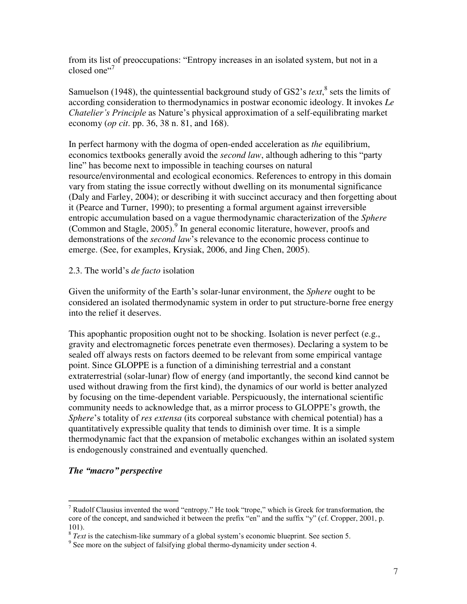from its list of preoccupations: "Entropy increases in an isolated system, but not in a closed one"<sup>7</sup>

Samuelson (1948), the quintessential background study of GS2's *text*,<sup>8</sup> sets the limits of according consideration to thermodynamics in postwar economic ideology. It invokes *Le Chatelier's Principle* as Nature's physical approximation of a self-equilibrating market economy (*op cit*. pp. 36, 38 n. 81, and 168).

In perfect harmony with the dogma of open-ended acceleration as *the* equilibrium, economics textbooks generally avoid the *second law*, although adhering to this "party line" has become next to impossible in teaching courses on natural resource/environmental and ecological economics. References to entropy in this domain vary from stating the issue correctly without dwelling on its monumental significance (Daly and Farley, 2004); or describing it with succinct accuracy and then forgetting about it (Pearce and Turner, 1990); to presenting a formal argument against irreversible entropic accumulation based on a vague thermodynamic characterization of the *Sphere* (Common and Stagle, 2005).<sup>9</sup> In general economic literature, however, proofs and demonstrations of the *second law*'s relevance to the economic process continue to emerge. (See, for examples, Krysiak, 2006, and Jing Chen, 2005).

## 2.3. The world's *de facto* isolation

Given the uniformity of the Earth's solar-lunar environment, the *Sphere* ought to be considered an isolated thermodynamic system in order to put structure-borne free energy into the relief it deserves.

This apophantic proposition ought not to be shocking. Isolation is never perfect (e.g., gravity and electromagnetic forces penetrate even thermoses). Declaring a system to be sealed off always rests on factors deemed to be relevant from some empirical vantage point. Since GLOPPE is a function of a diminishing terrestrial and a constant extraterrestrial (solar-lunar) flow of energy (and importantly, the second kind cannot be used without drawing from the first kind), the dynamics of our world is better analyzed by focusing on the time-dependent variable. Perspicuously, the international scientific community needs to acknowledge that, as a mirror process to GLOPPE's growth, the *Sphere*'s totality of *res extensa* (its corporeal substance with chemical potential) has a quantitatively expressible quality that tends to diminish over time. It is a simple thermodynamic fact that the expansion of metabolic exchanges within an isolated system is endogenously constrained and eventually quenched.

# *The "macro" perspective*

 $\overline{a}$  $<sup>7</sup>$  Rudolf Clausius invented the word "entropy." He took "trope," which is Greek for transformation, the</sup> core of the concept, and sandwiched it between the prefix "en" and the suffix "y" (cf. Cropper, 2001, p. 101).

<sup>&</sup>lt;sup>8</sup> Text is the catechism-like summary of a global system's economic blueprint. See section 5.

<sup>&</sup>lt;sup>9</sup> See more on the subject of falsifying global thermo-dynamicity under section 4.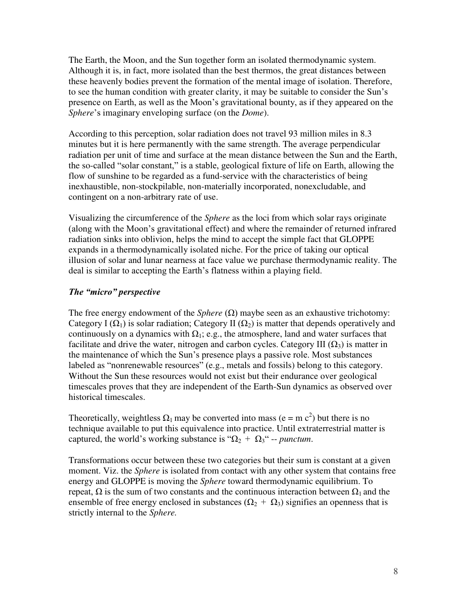The Earth, the Moon, and the Sun together form an isolated thermodynamic system. Although it is, in fact, more isolated than the best thermos, the great distances between these heavenly bodies prevent the formation of the mental image of isolation. Therefore, to see the human condition with greater clarity, it may be suitable to consider the Sun's presence on Earth, as well as the Moon's gravitational bounty, as if they appeared on the *Sphere*'s imaginary enveloping surface (on the *Dome*).

According to this perception, solar radiation does not travel 93 million miles in 8.3 minutes but it is here permanently with the same strength. The average perpendicular radiation per unit of time and surface at the mean distance between the Sun and the Earth, the so-called "solar constant," is a stable, geological fixture of life on Earth, allowing the flow of sunshine to be regarded as a fund-service with the characteristics of being inexhaustible, non-stockpilable, non-materially incorporated, nonexcludable, and contingent on a non-arbitrary rate of use.

Visualizing the circumference of the *Sphere* as the loci from which solar rays originate (along with the Moon's gravitational effect) and where the remainder of returned infrared radiation sinks into oblivion, helps the mind to accept the simple fact that GLOPPE expands in a thermodynamically isolated niche. For the price of taking our optical illusion of solar and lunar nearness at face value we purchase thermodynamic reality. The deal is similar to accepting the Earth's flatness within a playing field.

# *The "micro" perspective*

The free energy endowment of the *Sphere*  $(\Omega)$  maybe seen as an exhaustive trichotomy: Category I  $(\Omega_1)$  is solar radiation; Category II  $(\Omega_2)$  is matter that depends operatively and continuously on a dynamics with  $\Omega_1$ ; e.g., the atmosphere, land and water surfaces that facilitate and drive the water, nitrogen and carbon cycles. Category III  $(\Omega_3)$  is matter in the maintenance of which the Sun's presence plays a passive role. Most substances labeled as "nonrenewable resources" (e.g., metals and fossils) belong to this category. Without the Sun these resources would not exist but their endurance over geological timescales proves that they are independent of the Earth-Sun dynamics as observed over historical timescales.

Theoretically, weightless  $\Omega_1$  may be converted into mass (e = m c<sup>2</sup>) but there is no technique available to put this equivalence into practice. Until extraterrestrial matter is captured, the world's working substance is " $\Omega_2 + \Omega_3$ " -- *punctum*.

Transformations occur between these two categories but their sum is constant at a given moment. Viz. the *Sphere* is isolated from contact with any other system that contains free energy and GLOPPE is moving the *Sphere* toward thermodynamic equilibrium. To repeat,  $\Omega$  is the sum of two constants and the continuous interaction between  $\Omega_1$  and the ensemble of free energy enclosed in substances  $(\Omega_2 + \Omega_3)$  signifies an openness that is strictly internal to the *Sphere.*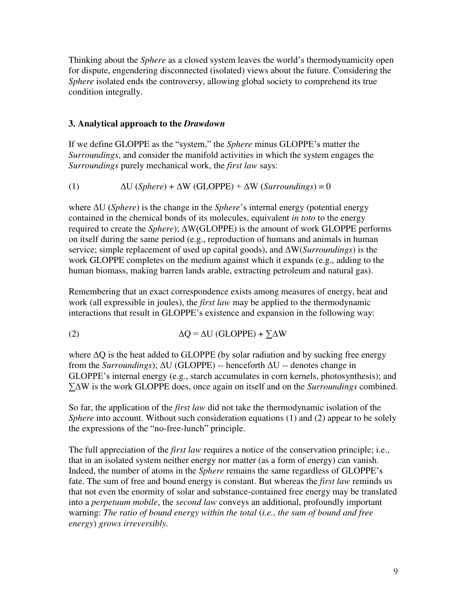Thinking about the *Sphere* as a closed system leaves the world's thermodynamicity open for dispute, engendering disconnected (isolated) views about the future. Considering the *Sphere* isolated ends the controversy, allowing global society to comprehend its true condition integrally.

# **3. Analytical approach to the** *Drawdown*

If we define GLOPPE as the "system," the *Sphere* minus GLOPPE's matter the *Surroundings*, and consider the manifold activities in which the system engages the *Surroundings* purely mechanical work, the *first law* says:

(1)  $\Delta U$  (*Sphere*) +  $\Delta W$  (*GLOPPE*) +  $\Delta W$  (*Surroundings*) = 0

where ΔU (*Sphere*) is the change in the *Sphere*'s internal energy (potential energy contained in the chemical bonds of its molecules, equivalent *in toto* to the energy required to create the *Sphere*); ΔW(GLOPPE) is the amount of work GLOPPE performs on itself during the same period (e.g., reproduction of humans and animals in human service; simple replacement of used up capital goods), and ΔW(*Surroundings*) is the work GLOPPE completes on the medium against which it expands (e.g., adding to the human biomass, making barren lands arable, extracting petroleum and natural gas).

Remembering that an exact correspondence exists among measures of energy, heat and work (all expressible in joules), the *first law* may be applied to the thermodynamic interactions that result in GLOPPE's existence and expansion in the following way:

(2) 
$$
\Delta Q = \Delta U \text{ (GLOPPE)} + \sum \Delta W
$$

where  $\Delta Q$  is the heat added to GLOPPE (by solar radiation and by sucking free energy from the *Surroundings*); ΔU (GLOPPE) -- henceforth ΔU -- denotes change in GLOPPE's internal energy (e.g., starch accumulates in corn kernels, photosynthesis); and ∑ΔW is the work GLOPPE does, once again on itself and on the *Surroundings* combined.

So far, the application of the *first law* did not take the thermodynamic isolation of the *Sphere* into account. Without such consideration equations (1) and (2) appear to be solely the expressions of the "no-free-lunch" principle.

The full appreciation of the *first law* requires a notice of the conservation principle; i.e., that in an isolated system neither energy nor matter (as a form of energy) can vanish. Indeed, the number of atoms in the *Sphere* remains the same regardless of GLOPPE's fate. The sum of free and bound energy is constant. But whereas the *first law* reminds us that not even the enormity of solar and substance-contained free energy may be translated into a *perpetuum mobile*, the *second law* conveys an additional, profoundly important warning: *The ratio of bound energy within the total* (*i.e., the sum of bound and free energy*) *grows irreversibly.*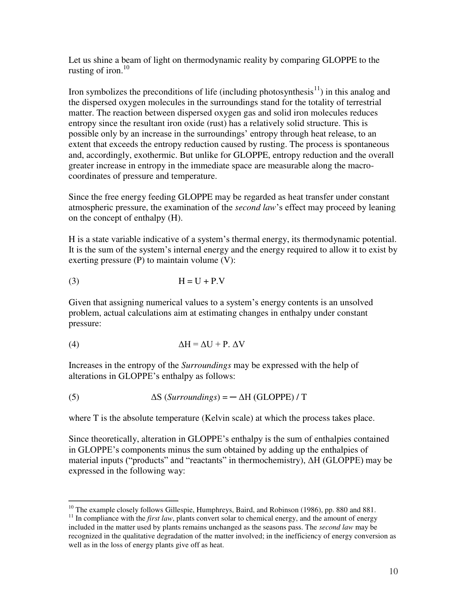Let us shine a beam of light on thermodynamic reality by comparing GLOPPE to the rusting of iron. $^{10}$ 

Iron symbolizes the preconditions of life (including photosynthesis<sup>11</sup>) in this analog and the dispersed oxygen molecules in the surroundings stand for the totality of terrestrial matter. The reaction between dispersed oxygen gas and solid iron molecules reduces entropy since the resultant iron oxide (rust) has a relatively solid structure. This is possible only by an increase in the surroundings' entropy through heat release, to an extent that exceeds the entropy reduction caused by rusting. The process is spontaneous and, accordingly, exothermic. But unlike for GLOPPE, entropy reduction and the overall greater increase in entropy in the immediate space are measurable along the macrocoordinates of pressure and temperature.

Since the free energy feeding GLOPPE may be regarded as heat transfer under constant atmospheric pressure, the examination of the *second law*'s effect may proceed by leaning on the concept of enthalpy (H).

H is a state variable indicative of a system's thermal energy, its thermodynamic potential. It is the sum of the system's internal energy and the energy required to allow it to exist by exerting pressure (P) to maintain volume (V):

(3) H = U + P.V

Given that assigning numerical values to a system's energy contents is an unsolved problem, actual calculations aim at estimating changes in enthalpy under constant pressure:

(4) 
$$
\Delta H = \Delta U + P. \Delta V
$$

Increases in the entropy of the *Surroundings* may be expressed with the help of alterations in GLOPPE's enthalpy as follows:

(5) 
$$
\Delta S \ (Surroundings) = - \Delta H \ (GLOPPE) / T
$$

where T is the absolute temperature (Kelvin scale) at which the process takes place.

Since theoretically, alteration in GLOPPE's enthalpy is the sum of enthalpies contained in GLOPPE's components minus the sum obtained by adding up the enthalpies of material inputs ("products" and "reactants" in thermochemistry), ΔH (GLOPPE) may be expressed in the following way:

 $\overline{a}$ <sup>10</sup> The example closely follows Gillespie, Humphreys, Baird, and Robinson (1986), pp. 880 and 881.

<sup>&</sup>lt;sup>11</sup> In compliance with the *first law*, plants convert solar to chemical energy, and the amount of energy included in the matter used by plants remains unchanged as the seasons pass. The *second law* may be recognized in the qualitative degradation of the matter involved; in the inefficiency of energy conversion as well as in the loss of energy plants give off as heat.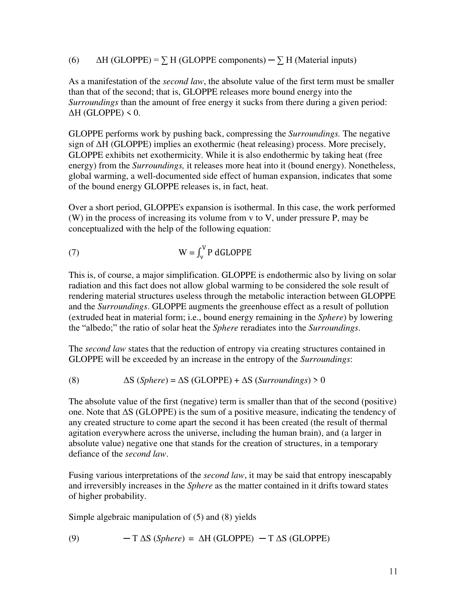(6)  $\Delta H$  (GLOPPE) =  $\Sigma$  H (GLOPPE components)  $-\Sigma$  H (Material inputs)

As a manifestation of the *second law*, the absolute value of the first term must be smaller than that of the second; that is, GLOPPE releases more bound energy into the *Surroundings* than the amount of free energy it sucks from there during a given period:  $\Delta H$  (GLOPPE) < 0.

GLOPPE performs work by pushing back, compressing the *Surroundings.* The negative sign of ΔH (GLOPPE) implies an exothermic (heat releasing) process. More precisely, GLOPPE exhibits net exothermicity. While it is also endothermic by taking heat (free energy) from the *Surroundings,* it releases more heat into it (bound energy). Nonetheless, global warming, a well-documented side effect of human expansion, indicates that some of the bound energy GLOPPE releases is, in fact, heat.

Over a short period, GLOPPE's expansion is isothermal. In this case, the work performed (W) in the process of increasing its volume from v to V, under pressure P, may be conceptualized with the help of the following equation:

(7) 
$$
W = \int_{V}^{V} P dGLOPPE
$$

This is, of course, a major simplification. GLOPPE is endothermic also by living on solar radiation and this fact does not allow global warming to be considered the sole result of rendering material structures useless through the metabolic interaction between GLOPPE and the *Surroundings*. GLOPPE augments the greenhouse effect as a result of pollution (extruded heat in material form; i.e., bound energy remaining in the *Sphere*) by lowering the "albedo;" the ratio of solar heat the *Sphere* reradiates into the *Surroundings*.

The *second law* states that the reduction of entropy via creating structures contained in GLOPPE will be exceeded by an increase in the entropy of the *Surroundings*:

(8) 
$$
\Delta S (Sphere) = \Delta S (GLOPPE) + \Delta S (Surroundings) > 0
$$

The absolute value of the first (negative) term is smaller than that of the second (positive) one. Note that ΔS (GLOPPE) is the sum of a positive measure, indicating the tendency of any created structure to come apart the second it has been created (the result of thermal agitation everywhere across the universe, including the human brain), and (a larger in absolute value) negative one that stands for the creation of structures, in a temporary defiance of the *second law*.

Fusing various interpretations of the *second law*, it may be said that entropy inescapably and irreversibly increases in the *Sphere* as the matter contained in it drifts toward states of higher probability.

Simple algebraic manipulation of (5) and (8) yields

(9) 
$$
-T \Delta S (Sphere) = \Delta H (GLOPPE) - T \Delta S (GLOPPE)
$$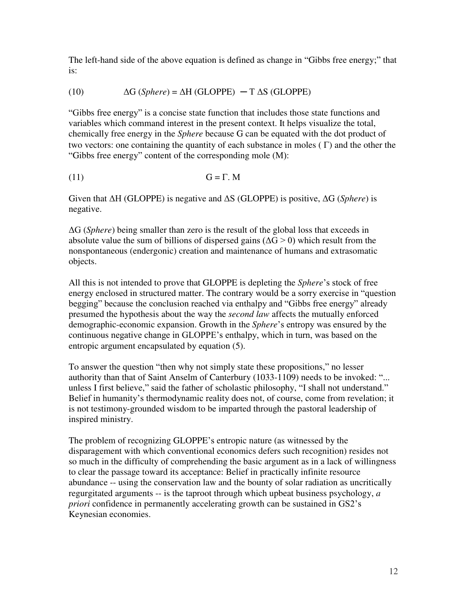The left-hand side of the above equation is defined as change in "Gibbs free energy;" that is:

(10) 
$$
\Delta G (Sphere) = \Delta H (GLOPPE) - T \Delta S (GLOPPE)
$$

"Gibbs free energy" is a concise state function that includes those state functions and variables which command interest in the present context. It helps visualize the total, chemically free energy in the *Sphere* because G can be equated with the dot product of two vectors: one containing the quantity of each substance in moles  $(\Gamma)$  and the other the "Gibbs free energy" content of the corresponding mole (Μ):

$$
(11) \tG = \Gamma. M
$$

Given that ΔH (GLOPPE) is negative and ΔS (GLOPPE) is positive, ΔG (*Sphere*) is negative.

ΔG (*Sphere*) being smaller than zero is the result of the global loss that exceeds in absolute value the sum of billions of dispersed gains  $( \Delta G > 0 )$  which result from the nonspontaneous (endergonic) creation and maintenance of humans and extrasomatic objects.

All this is not intended to prove that GLOPPE is depleting the *Sphere*'s stock of free energy enclosed in structured matter. The contrary would be a sorry exercise in "question begging" because the conclusion reached via enthalpy and "Gibbs free energy" already presumed the hypothesis about the way the *second law* affects the mutually enforced demographic-economic expansion. Growth in the *Sphere*'s entropy was ensured by the continuous negative change in GLOPPE's enthalpy, which in turn, was based on the entropic argument encapsulated by equation (5).

To answer the question "then why not simply state these propositions," no lesser authority than that of Saint Anselm of Canterbury (1033-1109) needs to be invoked: "... unless I first believe," said the father of scholastic philosophy, "I shall not understand." Belief in humanity's thermodynamic reality does not, of course, come from revelation; it is not testimony-grounded wisdom to be imparted through the pastoral leadership of inspired ministry.

The problem of recognizing GLOPPE's entropic nature (as witnessed by the disparagement with which conventional economics defers such recognition) resides not so much in the difficulty of comprehending the basic argument as in a lack of willingness to clear the passage toward its acceptance: Belief in practically infinite resource abundance -- using the conservation law and the bounty of solar radiation as uncritically regurgitated arguments -- is the taproot through which upbeat business psychology, *a priori* confidence in permanently accelerating growth can be sustained in GS2's Keynesian economies.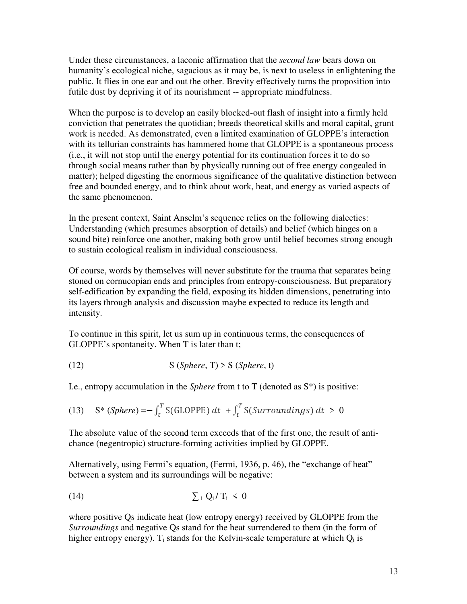Under these circumstances, a laconic affirmation that the *second law* bears down on humanity's ecological niche, sagacious as it may be, is next to useless in enlightening the public. It flies in one ear and out the other. Brevity effectively turns the proposition into futile dust by depriving it of its nourishment -- appropriate mindfulness.

When the purpose is to develop an easily blocked-out flash of insight into a firmly held conviction that penetrates the quotidian; breeds theoretical skills and moral capital, grunt work is needed. As demonstrated, even a limited examination of GLOPPE's interaction with its tellurian constraints has hammered home that GLOPPE is a spontaneous process (i.e., it will not stop until the energy potential for its continuation forces it to do so through social means rather than by physically running out of free energy congealed in matter); helped digesting the enormous significance of the qualitative distinction between free and bounded energy, and to think about work, heat, and energy as varied aspects of the same phenomenon.

In the present context, Saint Anselm's sequence relies on the following dialectics: Understanding (which presumes absorption of details) and belief (which hinges on a sound bite) reinforce one another, making both grow until belief becomes strong enough to sustain ecological realism in individual consciousness.

Of course, words by themselves will never substitute for the trauma that separates being stoned on cornucopian ends and principles from entropy-consciousness. But preparatory self-edification by expanding the field, exposing its hidden dimensions, penetrating into its layers through analysis and discussion maybe expected to reduce its length and intensity.

To continue in this spirit, let us sum up in continuous terms, the consequences of GLOPPE's spontaneity. When T is later than t;

$$
(12) \tS(Sphere, T) > S(Sphere, t)
$$

I.e., entropy accumulation in the *Sphere* from t to T (denoted as S\*) is positive:

(13) 
$$
S^*(Sphere) = -\int_t^T S(GLOPPE) dt + \int_t^T S(Surroundings) dt > 0
$$

The absolute value of the second term exceeds that of the first one, the result of antichance (negentropic) structure-forming activities implied by GLOPPE.

Alternatively, using Fermi's equation, (Fermi, 1936, p. 46), the "exchange of heat" between a system and its surroundings will be negative:

$$
\sum_i Q_i/T_i < 0
$$

where positive Qs indicate heat (low entropy energy) received by GLOPPE from the *Surroundings* and negative Qs stand for the heat surrendered to them (in the form of higher entropy energy).  $T_i$  stands for the Kelvin-scale temperature at which  $Q_i$  is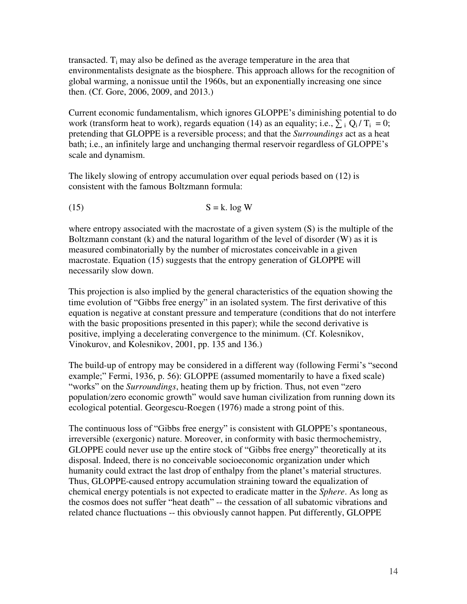transacted.  $T_i$  may also be defined as the average temperature in the area that environmentalists designate as the biosphere. This approach allows for the recognition of global warming, a nonissue until the 1960s, but an exponentially increasing one since then. (Cf. Gore, 2006, 2009, and 2013.)

Current economic fundamentalism, which ignores GLOPPE's diminishing potential to do work (transform heat to work), regards equation (14) as an equality; i.e.,  $\sum_i Q_i / T_i = 0$ ; pretending that GLOPPE is a reversible process; and that the *Surroundings* act as a heat bath; i.e., an infinitely large and unchanging thermal reservoir regardless of GLOPPE's scale and dynamism.

The likely slowing of entropy accumulation over equal periods based on (12) is consistent with the famous Boltzmann formula:

$$
(15) \tS = k. \log W
$$

where entropy associated with the macrostate of a given system (S) is the multiple of the Boltzmann constant  $(k)$  and the natural logarithm of the level of disorder  $(W)$  as it is measured combinatorially by the number of microstates conceivable in a given macrostate. Equation (15) suggests that the entropy generation of GLOPPE will necessarily slow down.

This projection is also implied by the general characteristics of the equation showing the time evolution of "Gibbs free energy" in an isolated system. The first derivative of this equation is negative at constant pressure and temperature (conditions that do not interfere with the basic propositions presented in this paper); while the second derivative is positive, implying a decelerating convergence to the minimum. (Cf. Kolesnikov, Vinokurov, and Kolesnikov, 2001, pp. 135 and 136.)

The build-up of entropy may be considered in a different way (following Fermi's "second example;" Fermi, 1936, p. 56): GLOPPE (assumed momentarily to have a fixed scale) "works" on the *Surroundings*, heating them up by friction. Thus, not even "zero population/zero economic growth" would save human civilization from running down its ecological potential. Georgescu-Roegen (1976) made a strong point of this.

The continuous loss of "Gibbs free energy" is consistent with GLOPPE's spontaneous, irreversible (exergonic) nature. Moreover, in conformity with basic thermochemistry, GLOPPE could never use up the entire stock of "Gibbs free energy" theoretically at its disposal. Indeed, there is no conceivable socioeconomic organization under which humanity could extract the last drop of enthalpy from the planet's material structures. Thus, GLOPPE-caused entropy accumulation straining toward the equalization of chemical energy potentials is not expected to eradicate matter in the *Sphere*. As long as the cosmos does not suffer "heat death" -- the cessation of all subatomic vibrations and related chance fluctuations -- this obviously cannot happen. Put differently, GLOPPE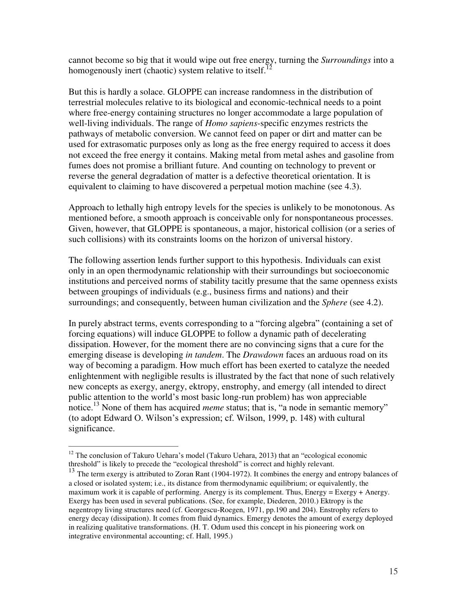cannot become so big that it would wipe out free energy, turning the *Surroundings* into a homogenously inert (chaotic) system relative to itself.<sup>1</sup>

But this is hardly a solace. GLOPPE can increase randomness in the distribution of terrestrial molecules relative to its biological and economic-technical needs to a point where free-energy containing structures no longer accommodate a large population of well-living individuals. The range of *Homo sapiens*-specific enzymes restricts the pathways of metabolic conversion. We cannot feed on paper or dirt and matter can be used for extrasomatic purposes only as long as the free energy required to access it does not exceed the free energy it contains. Making metal from metal ashes and gasoline from fumes does not promise a brilliant future. And counting on technology to prevent or reverse the general degradation of matter is a defective theoretical orientation. It is equivalent to claiming to have discovered a perpetual motion machine (see 4.3).

Approach to lethally high entropy levels for the species is unlikely to be monotonous. As mentioned before, a smooth approach is conceivable only for nonspontaneous processes. Given, however, that GLOPPE is spontaneous, a major, historical collision (or a series of such collisions) with its constraints looms on the horizon of universal history.

The following assertion lends further support to this hypothesis. Individuals can exist only in an open thermodynamic relationship with their surroundings but socioeconomic institutions and perceived norms of stability tacitly presume that the same openness exists between groupings of individuals (e.g., business firms and nations) and their surroundings; and consequently, between human civilization and the *Sphere* (see 4.2).

In purely abstract terms, events corresponding to a "forcing algebra" (containing a set of forcing equations) will induce GLOPPE to follow a dynamic path of decelerating dissipation. However, for the moment there are no convincing signs that a cure for the emerging disease is developing *in tandem*. The *Drawdown* faces an arduous road on its way of becoming a paradigm. How much effort has been exerted to catalyze the needed enlightenment with negligible results is illustrated by the fact that none of such relatively new concepts as exergy, anergy, ektropy, enstrophy, and emergy (all intended to direct public attention to the world's most basic long-run problem) has won appreciable notice.<sup>13</sup> None of them has acquired *meme* status; that is, "a node in semantic memory" (to adopt Edward O. Wilson's expression; cf. Wilson, 1999, p. 148) with cultural significance.

 $12$  The conclusion of Takuro Uehara's model (Takuro Uehara, 2013) that an "ecological economic threshold" is likely to precede the "ecological threshold" is correct and highly relevant.

<sup>&</sup>lt;sup>13</sup> The term exergy is attributed to Zoran Rant (1904-1972). It combines the energy and entropy balances of a closed or isolated system; i.e., its distance from thermodynamic equilibrium; or equivalently, the maximum work it is capable of performing. Anergy is its complement. Thus, Energy = Exergy + Anergy. Exergy has been used in several publications. (See, for example, Diederen, 2010.) Ektropy is the negentropy living structures need (cf. Georgescu-Roegen, 1971, pp.190 and 204). Enstrophy refers to energy decay (dissipation). It comes from fluid dynamics. Emergy denotes the amount of exergy deployed in realizing qualitative transformations. (H. T. Odum used this concept in his pioneering work on integrative environmental accounting; cf. Hall, 1995.)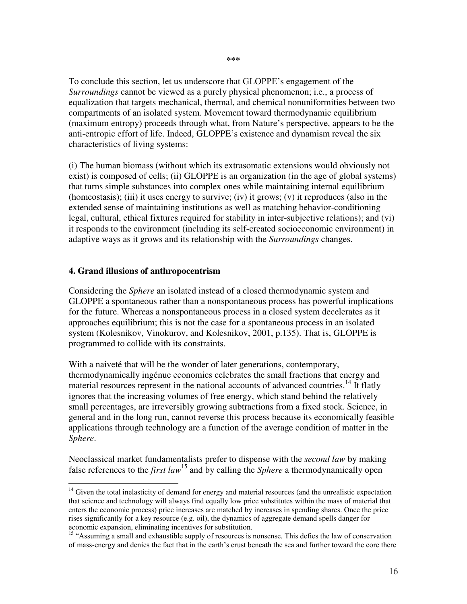To conclude this section, let us underscore that GLOPPE's engagement of the *Surroundings* cannot be viewed as a purely physical phenomenon; i.e., a process of equalization that targets mechanical, thermal, and chemical nonuniformities between two compartments of an isolated system. Movement toward thermodynamic equilibrium (maximum entropy) proceeds through what, from Nature's perspective, appears to be the anti-entropic effort of life. Indeed, GLOPPE's existence and dynamism reveal the six characteristics of living systems:

(i) The human biomass (without which its extrasomatic extensions would obviously not exist) is composed of cells; (ii) GLOPPE is an organization (in the age of global systems) that turns simple substances into complex ones while maintaining internal equilibrium (homeostasis); (iii) it uses energy to survive; (iv) it grows; (v) it reproduces (also in the extended sense of maintaining institutions as well as matching behavior-conditioning legal, cultural, ethical fixtures required for stability in inter-subjective relations); and (vi) it responds to the environment (including its self-created socioeconomic environment) in adaptive ways as it grows and its relationship with the *Surroundings* changes.

#### **4. Grand illusions of anthropocentrism**

 $\overline{a}$ 

Considering the *Sphere* an isolated instead of a closed thermodynamic system and GLOPPE a spontaneous rather than a nonspontaneous process has powerful implications for the future. Whereas a nonspontaneous process in a closed system decelerates as it approaches equilibrium; this is not the case for a spontaneous process in an isolated system (Kolesnikov, Vinokurov, and Kolesnikov, 2001, p.135). That is, GLOPPE is programmed to collide with its constraints.

With a naiveté that will be the wonder of later generations, contemporary, thermodynamically ingénue economics celebrates the small fractions that energy and material resources represent in the national accounts of advanced countries.<sup>14</sup> It flatly ignores that the increasing volumes of free energy, which stand behind the relatively small percentages, are irreversibly growing subtractions from a fixed stock. Science, in general and in the long run, cannot reverse this process because its economically feasible applications through technology are a function of the average condition of matter in the *Sphere*.

Neoclassical market fundamentalists prefer to dispense with the *second law* by making false references to the *first law*<sup>15</sup> and by calling the *Sphere* a thermodynamically open

<sup>&</sup>lt;sup>14</sup> Given the total inelasticity of demand for energy and material resources (and the unrealistic expectation that science and technology will always find equally low price substitutes within the mass of material that enters the economic process) price increases are matched by increases in spending shares. Once the price rises significantly for a key resource (e.g. oil), the dynamics of aggregate demand spells danger for economic expansion, eliminating incentives for substitution.

<sup>&</sup>lt;sup>15</sup> "Assuming a small and exhaustible supply of resources is nonsense. This defies the law of conservation of mass-energy and denies the fact that in the earth's crust beneath the sea and further toward the core there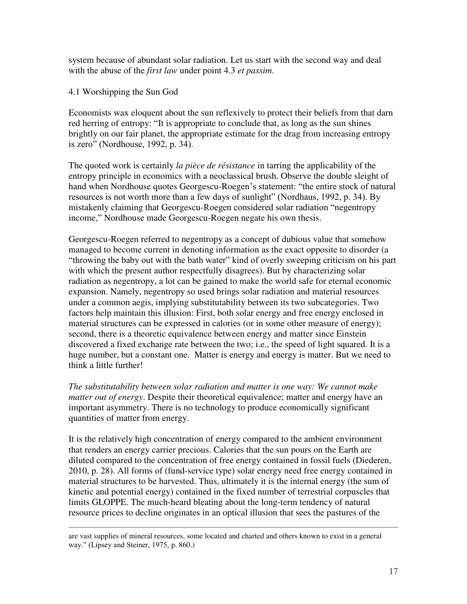system because of abundant solar radiation. Let us start with the second way and deal with the abuse of the *first law* under point 4.3 *et passim*.

4.1 Worshipping the Sun God

 $\overline{a}$ 

Economists wax eloquent about the sun reflexively to protect their beliefs from that darn red herring of entropy: "It is appropriate to conclude that, as long as the sun shines brightly on our fair planet, the appropriate estimate for the drag from increasing entropy is zero" (Nordhouse, 1992, p. 34).

The quoted work is certainly *la pièce de résistance* in tarring the applicability of the entropy principle in economics with a neoclassical brush. Observe the double sleight of hand when Nordhouse quotes Georgescu-Roegen's statement: "the entire stock of natural resources is not worth more than a few days of sunlight" (Nordhaus, 1992, p. 34). By mistakenly claiming that Georgescu-Roegen considered solar radiation "negentropy income," Nordhouse made Georgescu-Roegen negate his own thesis.

Georgescu-Roegen referred to negentropy as a concept of dubious value that somehow managed to become current in denoting information as the exact opposite to disorder (a "throwing the baby out with the bath water" kind of overly sweeping criticism on his part with which the present author respectfully disagrees). But by characterizing solar radiation as negentropy, a lot can be gained to make the world safe for eternal economic expansion. Namely, negentropy so used brings solar radiation and material resources under a common aegis, implying substitutability between its two subcategories. Two factors help maintain this illusion: First, both solar energy and free energy enclosed in material structures can be expressed in calories (or in some other measure of energy); second, there is a theoretic equivalence between energy and matter since Einstein discovered a fixed exchange rate between the two; i.e., the speed of light squared. It is a huge number, but a constant one. Matter is energy and energy is matter. But we need to think a little further!

*The substitutability between solar radiation and matter is one way: We cannot make matter out of energy*. Despite their theoretical equivalence; matter and energy have an important asymmetry. There is no technology to produce economically significant quantities of matter from energy.

It is the relatively high concentration of energy compared to the ambient environment that renders an energy carrier precious. Calories that the sun pours on the Earth are diluted compared to the concentration of free energy contained in fossil fuels (Diederen, 2010, p. 28). All forms of (fund-service type) solar energy need free energy contained in material structures to be harvested. Thus, ultimately it is the internal energy (the sum of kinetic and potential energy) contained in the fixed number of terrestrial corpuscles that limits GLOPPE. The much-heard bleating about the long-term tendency of natural resource prices to decline originates in an optical illusion that sees the pastures of the

are vast supplies of mineral resources, some located and charted and others known to exist in a general way." (Lipsey and Steiner, 1975, p. 860.)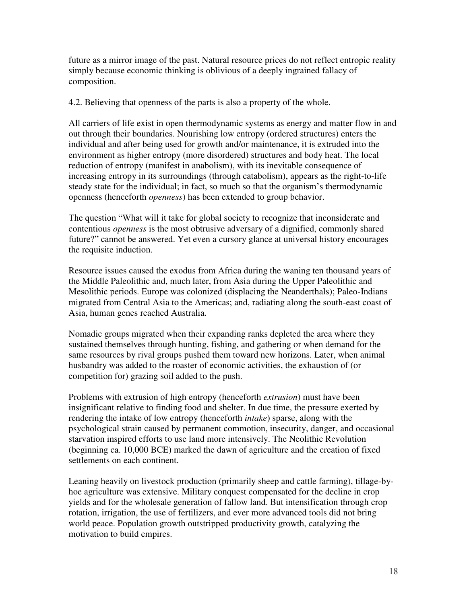future as a mirror image of the past. Natural resource prices do not reflect entropic reality simply because economic thinking is oblivious of a deeply ingrained fallacy of composition.

4.2. Believing that openness of the parts is also a property of the whole.

All carriers of life exist in open thermodynamic systems as energy and matter flow in and out through their boundaries. Nourishing low entropy (ordered structures) enters the individual and after being used for growth and/or maintenance, it is extruded into the environment as higher entropy (more disordered) structures and body heat. The local reduction of entropy (manifest in anabolism), with its inevitable consequence of increasing entropy in its surroundings (through catabolism), appears as the right-to-life steady state for the individual; in fact, so much so that the organism's thermodynamic openness (henceforth *openness*) has been extended to group behavior.

The question "What will it take for global society to recognize that inconsiderate and contentious *openness* is the most obtrusive adversary of a dignified, commonly shared future?" cannot be answered. Yet even a cursory glance at universal history encourages the requisite induction.

Resource issues caused the exodus from Africa during the waning ten thousand years of the Middle Paleolithic and, much later, from Asia during the Upper Paleolithic and Mesolithic periods. Europe was colonized (displacing the Neanderthals); Paleo-Indians migrated from Central Asia to the Americas; and, radiating along the south-east coast of Asia, human genes reached Australia.

Nomadic groups migrated when their expanding ranks depleted the area where they sustained themselves through hunting, fishing, and gathering or when demand for the same resources by rival groups pushed them toward new horizons. Later, when animal husbandry was added to the roaster of economic activities, the exhaustion of (or competition for) grazing soil added to the push.

Problems with extrusion of high entropy (henceforth *extrusion*) must have been insignificant relative to finding food and shelter. In due time, the pressure exerted by rendering the intake of low entropy (henceforth *intake*) sparse, along with the psychological strain caused by permanent commotion, insecurity, danger, and occasional starvation inspired efforts to use land more intensively. The Neolithic Revolution (beginning ca. 10,000 BCE) marked the dawn of agriculture and the creation of fixed settlements on each continent.

Leaning heavily on livestock production (primarily sheep and cattle farming), tillage-byhoe agriculture was extensive. Military conquest compensated for the decline in crop yields and for the wholesale generation of fallow land. But intensification through crop rotation, irrigation, the use of fertilizers, and ever more advanced tools did not bring world peace. Population growth outstripped productivity growth, catalyzing the motivation to build empires.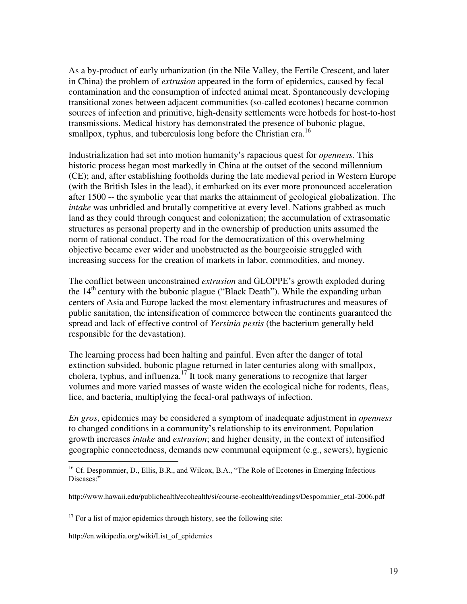As a by-product of early urbanization (in the Nile Valley, the Fertile Crescent, and later in China) the problem of *extrusion* appeared in the form of epidemics, caused by fecal contamination and the consumption of infected animal meat. Spontaneously developing transitional zones between adjacent communities (so-called ecotones) became common sources of infection and primitive, high-density settlements were hotbeds for host-to-host transmissions. Medical history has demonstrated the presence of bubonic plague, smallpox, typhus, and tuberculosis long before the Christian era.<sup>16</sup>

Industrialization had set into motion humanity's rapacious quest for *openness*. This historic process began most markedly in China at the outset of the second millennium (CE); and, after establishing footholds during the late medieval period in Western Europe (with the British Isles in the lead), it embarked on its ever more pronounced acceleration after 1500 -- the symbolic year that marks the attainment of geological globalization. The *intake* was unbridled and brutally competitive at every level. Nations grabbed as much land as they could through conquest and colonization; the accumulation of extrasomatic structures as personal property and in the ownership of production units assumed the norm of rational conduct. The road for the democratization of this overwhelming objective became ever wider and unobstructed as the bourgeoisie struggled with increasing success for the creation of markets in labor, commodities, and money.

The conflict between unconstrained *extrusion* and GLOPPE's growth exploded during the  $14<sup>th</sup>$  century with the bubonic plague ("Black Death"). While the expanding urban centers of Asia and Europe lacked the most elementary infrastructures and measures of public sanitation, the intensification of commerce between the continents guaranteed the spread and lack of effective control of *Yersinia pestis* (the bacterium generally held responsible for the devastation).

The learning process had been halting and painful. Even after the danger of total extinction subsided, bubonic plague returned in later centuries along with smallpox, cholera, typhus, and influenza.<sup>17</sup> It took many generations to recognize that larger volumes and more varied masses of waste widen the ecological niche for rodents, fleas, lice, and bacteria, multiplying the fecal-oral pathways of infection.

*En gros*, epidemics may be considered a symptom of inadequate adjustment in *openness*  to changed conditions in a community's relationship to its environment. Population growth increases *intake* and *extrusion*; and higher density, in the context of intensified geographic connectedness, demands new communal equipment (e.g., sewers), hygienic

<sup>&</sup>lt;sup>16</sup> Cf. Despommier, D., Ellis, B.R., and Wilcox, B.A., "The Role of Ecotones in Emerging Infectious Diseases:"

http://www.hawaii.edu/publichealth/ecohealth/si/course-ecohealth/readings/Despommier\_etal-2006.pdf

 $17$  For a list of major epidemics through history, see the following site:

http://en.wikipedia.org/wiki/List\_of\_epidemics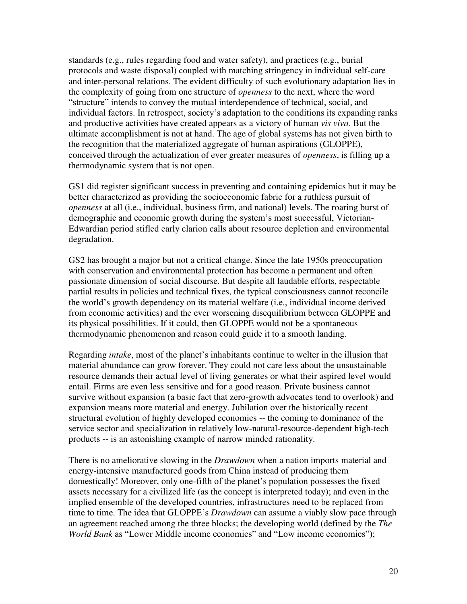standards (e.g., rules regarding food and water safety), and practices (e.g., burial protocols and waste disposal) coupled with matching stringency in individual self-care and inter-personal relations. The evident difficulty of such evolutionary adaptation lies in the complexity of going from one structure of *openness* to the next, where the word "structure" intends to convey the mutual interdependence of technical, social, and individual factors. In retrospect, society's adaptation to the conditions its expanding ranks and productive activities have created appears as a victory of human *vis viva*. But the ultimate accomplishment is not at hand. The age of global systems has not given birth to the recognition that the materialized aggregate of human aspirations (GLOPPE), conceived through the actualization of ever greater measures of *openness*, is filling up a thermodynamic system that is not open.

GS1 did register significant success in preventing and containing epidemics but it may be better characterized as providing the socioeconomic fabric for a ruthless pursuit of *openness* at all (i.e., individual, business firm, and national) levels. The roaring burst of demographic and economic growth during the system's most successful, Victorian-Edwardian period stifled early clarion calls about resource depletion and environmental degradation.

GS2 has brought a major but not a critical change. Since the late 1950s preoccupation with conservation and environmental protection has become a permanent and often passionate dimension of social discourse. But despite all laudable efforts, respectable partial results in policies and technical fixes, the typical consciousness cannot reconcile the world's growth dependency on its material welfare (i.e., individual income derived from economic activities) and the ever worsening disequilibrium between GLOPPE and its physical possibilities. If it could, then GLOPPE would not be a spontaneous thermodynamic phenomenon and reason could guide it to a smooth landing.

Regarding *intake*, most of the planet's inhabitants continue to welter in the illusion that material abundance can grow forever. They could not care less about the unsustainable resource demands their actual level of living generates or what their aspired level would entail. Firms are even less sensitive and for a good reason. Private business cannot survive without expansion (a basic fact that zero-growth advocates tend to overlook) and expansion means more material and energy. Jubilation over the historically recent structural evolution of highly developed economies -- the coming to dominance of the service sector and specialization in relatively low-natural-resource-dependent high-tech products -- is an astonishing example of narrow minded rationality.

There is no ameliorative slowing in the *Drawdown* when a nation imports material and energy-intensive manufactured goods from China instead of producing them domestically! Moreover, only one-fifth of the planet's population possesses the fixed assets necessary for a civilized life (as the concept is interpreted today); and even in the implied ensemble of the developed countries, infrastructures need to be replaced from time to time. The idea that GLOPPE's *Drawdown* can assume a viably slow pace through an agreement reached among the three blocks; the developing world (defined by the *The World Bank* as "Lower Middle income economies" and "Low income economies");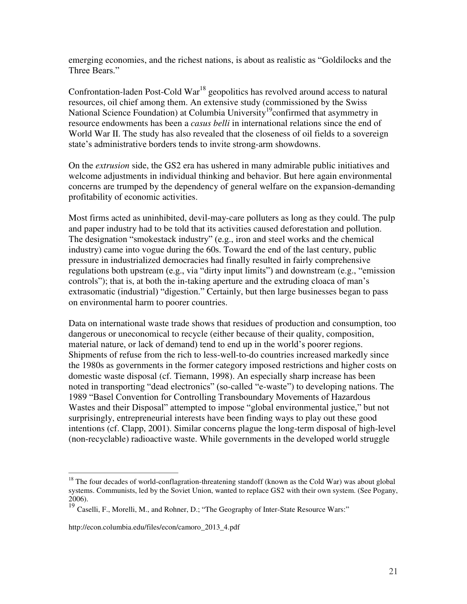emerging economies, and the richest nations, is about as realistic as "Goldilocks and the Three Bears."

Confrontation-laden Post-Cold  $\text{War}^{18}$  geopolitics has revolved around access to natural resources, oil chief among them. An extensive study (commissioned by the Swiss National Science Foundation) at Columbia University<sup>19</sup>confirmed that asymmetry in resource endowments has been a *casus belli* in international relations since the end of World War II. The study has also revealed that the closeness of oil fields to a sovereign state's administrative borders tends to invite strong-arm showdowns.

On the *extrusion* side, the GS2 era has ushered in many admirable public initiatives and welcome adjustments in individual thinking and behavior. But here again environmental concerns are trumped by the dependency of general welfare on the expansion-demanding profitability of economic activities.

Most firms acted as uninhibited, devil-may-care polluters as long as they could. The pulp and paper industry had to be told that its activities caused deforestation and pollution. The designation "smokestack industry" (e.g., iron and steel works and the chemical industry) came into vogue during the 60s. Toward the end of the last century, public pressure in industrialized democracies had finally resulted in fairly comprehensive regulations both upstream (e.g., via "dirty input limits") and downstream (e.g., "emission controls"); that is, at both the in-taking aperture and the extruding cloaca of man's extrasomatic (industrial) "digestion." Certainly, but then large businesses began to pass on environmental harm to poorer countries.

Data on international waste trade shows that residues of production and consumption, too dangerous or uneconomical to recycle (either because of their quality, composition, material nature, or lack of demand) tend to end up in the world's poorer regions. Shipments of refuse from the rich to less-well-to-do countries increased markedly since the 1980s as governments in the former category imposed restrictions and higher costs on domestic waste disposal (cf. Tiemann, 1998). An especially sharp increase has been noted in transporting "dead electronics" (so-called "e-waste") to developing nations. The 1989 "Basel Convention for Controlling Transboundary Movements of Hazardous Wastes and their Disposal" attempted to impose "global environmental justice," but not surprisingly, entrepreneurial interests have been finding ways to play out these good intentions (cf. Clapp, 2001). Similar concerns plague the long-term disposal of high-level (non-recyclable) radioactive waste. While governments in the developed world struggle

 $18$  The four decades of world-conflagration-threatening standoff (known as the Cold War) was about global systems. Communists, led by the Soviet Union, wanted to replace GS2 with their own system. (See Pogany, 2006).

<sup>&</sup>lt;sup>19</sup> Caselli, F., Morelli, M., and Rohner, D.; "The Geography of Inter-State Resource Wars:"

http://econ.columbia.edu/files/econ/camoro\_2013\_4.pdf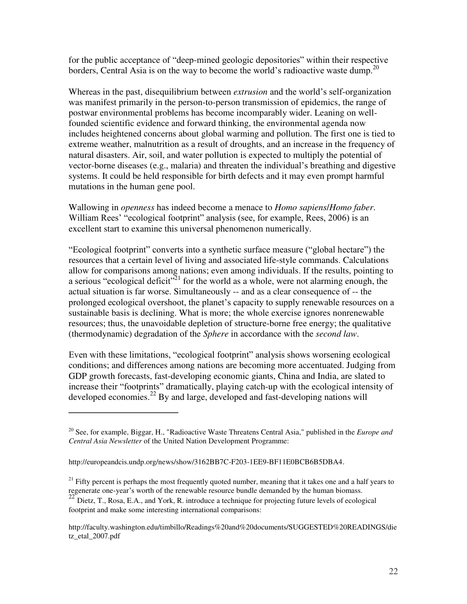for the public acceptance of "deep-mined geologic depositories" within their respective borders, Central Asia is on the way to become the world's radioactive waste dump.<sup>20</sup>

Whereas in the past, disequilibrium between *extrusion* and the world's self-organization was manifest primarily in the person-to-person transmission of epidemics, the range of postwar environmental problems has become incomparably wider. Leaning on wellfounded scientific evidence and forward thinking, the environmental agenda now includes heightened concerns about global warming and pollution. The first one is tied to extreme weather, malnutrition as a result of droughts, and an increase in the frequency of natural disasters. Air, soil, and water pollution is expected to multiply the potential of vector-borne diseases (e.g., malaria) and threaten the individual's breathing and digestive systems. It could be held responsible for birth defects and it may even prompt harmful mutations in the human gene pool.

Wallowing in *openness* has indeed become a menace to *Homo sapiens*/*Homo faber*. William Rees' "ecological footprint" analysis (see, for example, Rees, 2006) is an excellent start to examine this universal phenomenon numerically.

"Ecological footprint" converts into a synthetic surface measure ("global hectare") the resources that a certain level of living and associated life-style commands. Calculations allow for comparisons among nations; even among individuals. If the results, pointing to a serious "ecological deficit"<sup>21</sup> for the world as a whole, were not alarming enough, the actual situation is far worse. Simultaneously -- and as a clear consequence of -- the prolonged ecological overshoot, the planet's capacity to supply renewable resources on a sustainable basis is declining. What is more; the whole exercise ignores nonrenewable resources; thus, the unavoidable depletion of structure-borne free energy; the qualitative (thermodynamic) degradation of the *Sphere* in accordance with the *second law*.

Even with these limitations, "ecological footprint" analysis shows worsening ecological conditions; and differences among nations are becoming more accentuated. Judging from GDP growth forecasts, fast-developing economic giants, China and India, are slated to increase their "footprints" dramatically, playing catch-up with the ecological intensity of developed economies.<sup>22</sup> By and large, developed and fast-developing nations will

<sup>20</sup> See, for example, Biggar, H., "Radioactive Waste Threatens Central Asia," published in the *Europe and Central Asia Newsletter* of the United Nation Development Programme:

http://europeandcis.undp.org/news/show/3162BB7C-F203-1EE9-BF11E0BCB6B5DBA4.

<sup>&</sup>lt;sup>21</sup> Fifty percent is perhaps the most frequently quoted number, meaning that it takes one and a half years to regenerate one-year's worth of the renewable resource bundle demanded by the human biomass.

<sup>&</sup>lt;sup>22</sup> Dietz, T., Rosa, E.A., and York, R. introduce a technique for projecting future levels of ecological footprint and make some interesting international comparisons:

http://faculty.washington.edu/timbillo/Readings%20and%20documents/SUGGESTED%20READINGS/die tz\_etal\_2007.pdf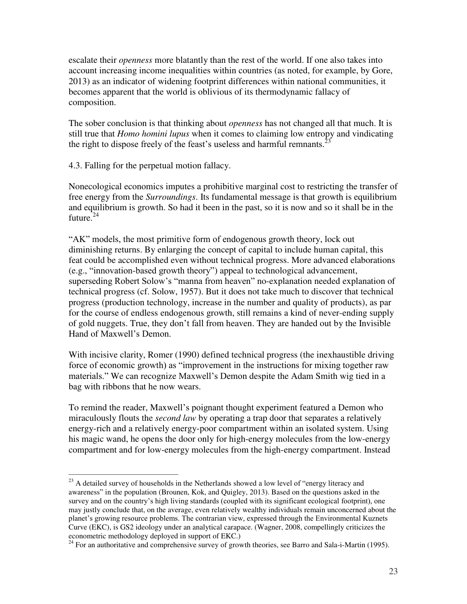escalate their *openness* more blatantly than the rest of the world. If one also takes into account increasing income inequalities within countries (as noted, for example, by Gore, 2013) as an indicator of widening footprint differences within national communities, it becomes apparent that the world is oblivious of its thermodynamic fallacy of composition.

The sober conclusion is that thinking about *openness* has not changed all that much. It is still true that *Homo homini lupus* when it comes to claiming low entropy and vindicating the right to dispose freely of the feast's useless and harmful remnants.<sup>2</sup>

4.3. Falling for the perpetual motion fallacy.

Nonecological economics imputes a prohibitive marginal cost to restricting the transfer of free energy from the *Surroundings*. Its fundamental message is that growth is equilibrium and equilibrium is growth. So had it been in the past, so it is now and so it shall be in the future. $24$ 

"AK" models, the most primitive form of endogenous growth theory, lock out diminishing returns. By enlarging the concept of capital to include human capital, this feat could be accomplished even without technical progress. More advanced elaborations (e.g., "innovation-based growth theory") appeal to technological advancement, superseding Robert Solow's "manna from heaven" no-explanation needed explanation of technical progress (cf. Solow, 1957). But it does not take much to discover that technical progress (production technology, increase in the number and quality of products), as par for the course of endless endogenous growth, still remains a kind of never-ending supply of gold nuggets. True, they don't fall from heaven. They are handed out by the Invisible Hand of Maxwell's Demon.

With incisive clarity, Romer (1990) defined technical progress (the inexhaustible driving force of economic growth) as "improvement in the instructions for mixing together raw materials." We can recognize Maxwell's Demon despite the Adam Smith wig tied in a bag with ribbons that he now wears.

To remind the reader, Maxwell's poignant thought experiment featured a Demon who miraculously flouts the *second law* by operating a trap door that separates a relatively energy-rich and a relatively energy-poor compartment within an isolated system. Using his magic wand, he opens the door only for high-energy molecules from the low-energy compartment and for low-energy molecules from the high-energy compartment. Instead

 $\overline{a}$  $2<sup>23</sup>$  A detailed survey of households in the Netherlands showed a low level of "energy literacy and awareness" in the population (Brounen, Kok, and Quigley, 2013). Based on the questions asked in the survey and on the country's high living standards (coupled with its significant ecological footprint), one may justly conclude that, on the average, even relatively wealthy individuals remain unconcerned about the planet's growing resource problems. The contrarian view, expressed through the Environmental Kuznets Curve (EKC), is GS2 ideology under an analytical carapace. (Wagner, 2008, compellingly criticizes the econometric methodology deployed in support of EKC.)

 $24$  For an authoritative and comprehensive survey of growth theories, see Barro and Sala-i-Martin (1995).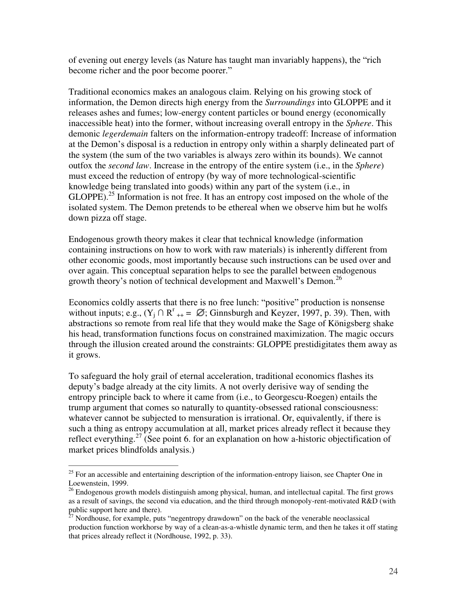of evening out energy levels (as Nature has taught man invariably happens), the "rich become richer and the poor become poorer."

Traditional economics makes an analogous claim. Relying on his growing stock of information, the Demon directs high energy from the *Surroundings* into GLOPPE and it releases ashes and fumes; low-energy content particles or bound energy (economically inaccessible heat) into the former, without increasing overall entropy in the *Sphere*. This demonic *legerdemain* falters on the information-entropy tradeoff: Increase of information at the Demon's disposal is a reduction in entropy only within a sharply delineated part of the system (the sum of the two variables is always zero within its bounds). We cannot outfox the *second law*. Increase in the entropy of the entire system (i.e., in the *Sphere*) must exceed the reduction of entropy (by way of more technological-scientific knowledge being translated into goods) within any part of the system (i.e., in GLOPPE).<sup>25</sup> Information is not free. It has an entropy cost imposed on the whole of the isolated system. The Demon pretends to be ethereal when we observe him but he wolfs down pizza off stage.

Endogenous growth theory makes it clear that technical knowledge (information containing instructions on how to work with raw materials) is inherently different from other economic goods, most importantly because such instructions can be used over and over again. This conceptual separation helps to see the parallel between endogenous growth theory's notion of technical development and Maxwell's Demon.<sup>26</sup>

Economics coldly asserts that there is no free lunch: "positive" production is nonsense without inputs; e.g.,  $(Y_j \cap R^r)_{i+1} = \emptyset$ ; Ginnsburgh and Keyzer, 1997, p. 39). Then, with abstractions so remote from real life that they would make the Sage of Königsberg shake his head, transformation functions focus on constrained maximization. The magic occurs through the illusion created around the constraints: GLOPPE prestidigitates them away as it grows.

To safeguard the holy grail of eternal acceleration, traditional economics flashes its deputy's badge already at the city limits. A not overly derisive way of sending the entropy principle back to where it came from (i.e., to Georgescu-Roegen) entails the trump argument that comes so naturally to quantity-obsessed rational consciousness: whatever cannot be subjected to mensuration is irrational. Or, equivalently, if there is such a thing as entropy accumulation at all, market prices already reflect it because they reflect everything.<sup>27</sup> (See point 6. for an explanation on how a-historic objectification of market prices blindfolds analysis.)

<sup>&</sup>lt;sup>25</sup> For an accessible and entertaining description of the information-entropy liaison, see Chapter One in Loewenstein, 1999.

<sup>&</sup>lt;sup>26</sup> Endogenous growth models distinguish among physical, human, and intellectual capital. The first grows as a result of savings, the second via education, and the third through monopoly-rent-motivated R&D (with public support here and there).

 $^{27}$  Nordhouse, for example, puts "negentropy drawdown" on the back of the venerable neoclassical production function workhorse by way of a clean-as-a-whistle dynamic term, and then he takes it off stating that prices already reflect it (Nordhouse, 1992, p. 33).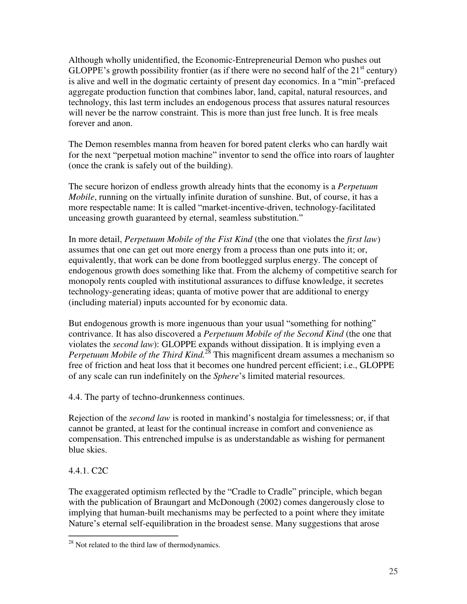Although wholly unidentified, the Economic-Entrepreneurial Demon who pushes out GLOPPE's growth possibility frontier (as if there were no second half of the  $21<sup>st</sup>$  century) is alive and well in the dogmatic certainty of present day economics. In a "min"-prefaced aggregate production function that combines labor, land, capital, natural resources, and technology, this last term includes an endogenous process that assures natural resources will never be the narrow constraint. This is more than just free lunch. It is free meals forever and anon.

The Demon resembles manna from heaven for bored patent clerks who can hardly wait for the next "perpetual motion machine" inventor to send the office into roars of laughter (once the crank is safely out of the building).

The secure horizon of endless growth already hints that the economy is a *Perpetuum Mobile*, running on the virtually infinite duration of sunshine. But, of course, it has a more respectable name: It is called "market-incentive-driven, technology-facilitated unceasing growth guaranteed by eternal, seamless substitution."

In more detail, *Perpetuum Mobile of the Fist Kind* (the one that violates the *first law*) assumes that one can get out more energy from a process than one puts into it; or, equivalently, that work can be done from bootlegged surplus energy. The concept of endogenous growth does something like that. From the alchemy of competitive search for monopoly rents coupled with institutional assurances to diffuse knowledge, it secretes technology-generating ideas; quanta of motive power that are additional to energy (including material) inputs accounted for by economic data.

But endogenous growth is more ingenuous than your usual "something for nothing" contrivance. It has also discovered a *Perpetuum Mobile of the Second Kind* (the one that violates the *second law*): GLOPPE expands without dissipation. It is implying even a *Perpetuum Mobile of the Third Kind.*<sup>28</sup> This magnificent dream assumes a mechanism so free of friction and heat loss that it becomes one hundred percent efficient; i.e., GLOPPE of any scale can run indefinitely on the *Sphere*'s limited material resources.

4.4. The party of techno-drunkenness continues.

Rejection of the *second law* is rooted in mankind's nostalgia for timelessness; or, if that cannot be granted, at least for the continual increase in comfort and convenience as compensation. This entrenched impulse is as understandable as wishing for permanent blue skies.

# 4.4.1. C2C

The exaggerated optimism reflected by the "Cradle to Cradle" principle, which began with the publication of Braungart and McDonough (2002) comes dangerously close to implying that human-built mechanisms may be perfected to a point where they imitate Nature's eternal self-equilibration in the broadest sense. Many suggestions that arose

 $\overline{a}$  $28$  Not related to the third law of thermodynamics.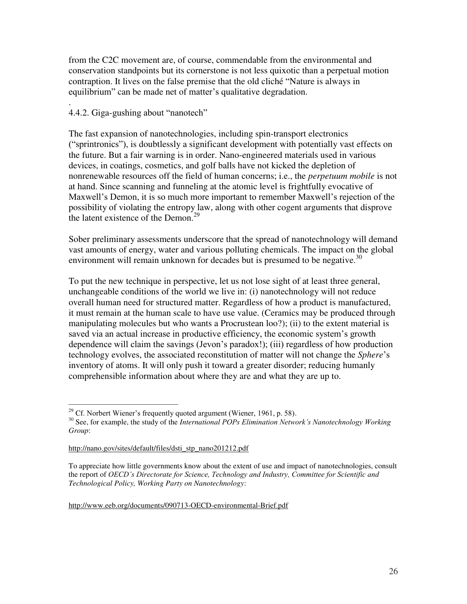from the C2C movement are, of course, commendable from the environmental and conservation standpoints but its cornerstone is not less quixotic than a perpetual motion contraption. It lives on the false premise that the old cliché "Nature is always in equilibrium" can be made net of matter's qualitative degradation.

. 4.4.2. Giga-gushing about "nanotech"

The fast expansion of nanotechnologies, including spin-transport electronics ("sprintronics"), is doubtlessly a significant development with potentially vast effects on the future. But a fair warning is in order. Nano-engineered materials used in various devices, in coatings, cosmetics, and golf balls have not kicked the depletion of nonrenewable resources off the field of human concerns; i.e., the *perpetuum mobile* is not at hand. Since scanning and funneling at the atomic level is frightfully evocative of Maxwell's Demon, it is so much more important to remember Maxwell's rejection of the possibility of violating the entropy law, along with other cogent arguments that disprove the latent existence of the Demon.<sup>29</sup>

Sober preliminary assessments underscore that the spread of nanotechnology will demand vast amounts of energy, water and various polluting chemicals. The impact on the global environment will remain unknown for decades but is presumed to be negative.<sup>30</sup>

To put the new technique in perspective, let us not lose sight of at least three general, unchangeable conditions of the world we live in: (i) nanotechnology will not reduce overall human need for structured matter. Regardless of how a product is manufactured, it must remain at the human scale to have use value. (Ceramics may be produced through manipulating molecules but who wants a Procrustean loo?); (ii) to the extent material is saved via an actual increase in productive efficiency, the economic system's growth dependence will claim the savings (Jevon's paradox!); (iii) regardless of how production technology evolves, the associated reconstitution of matter will not change the *Sphere*'s inventory of atoms. It will only push it toward a greater disorder; reducing humanly comprehensible information about where they are and what they are up to.

<http://www.eeb.org/documents/090713-OECD-environmental-Brief.pdf>

 $\overline{a}$  $29$  Cf. Norbert Wiener's frequently quoted argument (Wiener, 1961, p. 58).

<sup>30</sup> See, for example, the study of the *International POPs Elimination Network's Nanotechnology Working Group*:

[http://nano.gov/sites/default/files/dsti\\_stp\\_nano201212.pdf](http://nano.gov/sites/default/files/dsti_stp_nano201212.pdf)

To appreciate how little governments know about the extent of use and impact of nanotechnologies, consult the report of *OECD's Directorate for Science, Technology and Industry, Committee for Scientific and Technological Policy, Working Party on Nanotechnology*: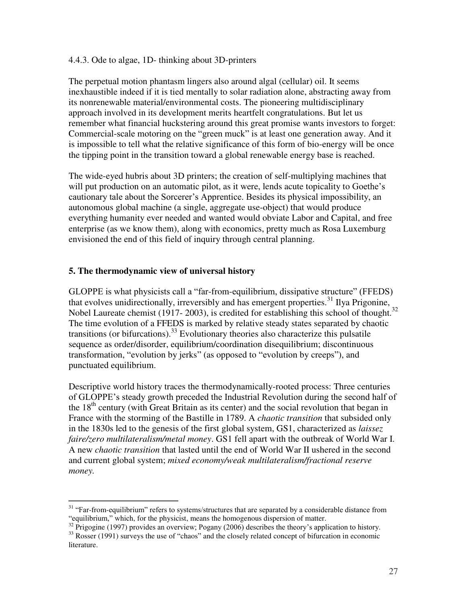#### 4.4.3. Ode to algae, 1D- thinking about 3D-printers

The perpetual motion phantasm lingers also around algal (cellular) oil. It seems inexhaustible indeed if it is tied mentally to solar radiation alone, abstracting away from its nonrenewable material/environmental costs. The pioneering multidisciplinary approach involved in its development merits heartfelt congratulations. But let us remember what financial huckstering around this great promise wants investors to forget: Commercial-scale motoring on the "green muck" is at least one generation away. And it is impossible to tell what the relative significance of this form of bio-energy will be once the tipping point in the transition toward a global renewable energy base is reached.

The wide-eyed hubris about 3D printers; the creation of self-multiplying machines that will put production on an automatic pilot, as it were, lends acute topicality to Goethe's cautionary tale about the Sorcerer's Apprentice. Besides its physical impossibility, an autonomous global machine (a single, aggregate use-object) that would produce everything humanity ever needed and wanted would obviate Labor and Capital, and free enterprise (as we know them), along with economics, pretty much as Rosa Luxemburg envisioned the end of this field of inquiry through central planning.

## **5. The thermodynamic view of universal history**

GLOPPE is what physicists call a "far-from-equilibrium, dissipative structure" (FFEDS) that evolves unidirectionally, irreversibly and has emergent properties.<sup>31</sup> Ilya Prigonine, Nobel Laureate chemist (1917- 2003), is credited for establishing this school of thought.<sup>32</sup> The time evolution of a FFEDS is marked by relative steady states separated by chaotic transitions (or bifurcations).<sup>33</sup> Evolutionary theories also characterize this pulsatile sequence as order/disorder, equilibrium/coordination disequilibrium; discontinuous transformation, "evolution by jerks" (as opposed to "evolution by creeps"), and punctuated equilibrium.

Descriptive world history traces the thermodynamically-rooted process: Three centuries of GLOPPE's steady growth preceded the Industrial Revolution during the second half of the  $18<sup>th</sup>$  century (with Great Britain as its center) and the social revolution that began in France with the storming of the Bastille in 1789. A *chaotic transition* that subsided only in the 1830s led to the genesis of the first global system, GS1, characterized as *laissez faire/zero multilateralism/metal money*. GS1 fell apart with the outbreak of World War I. A new *chaotic transition* that lasted until the end of World War II ushered in the second and current global system; *mixed economy/weak multilateralism/fractional reserve money.* 

 $\overline{a}$ <sup>31</sup> "Far-from-equilibrium" refers to systems/structures that are separated by a considerable distance from "equilibrium," which, for the physicist, means the homogenous dispersion of matter.

 $32$  Prigogine (1997) provides an overview; Pogany (2006) describes the theory's application to history. <sup>33</sup> Rosser (1991) surveys the use of "chaos" and the closely related concept of bifurcation in economic literature.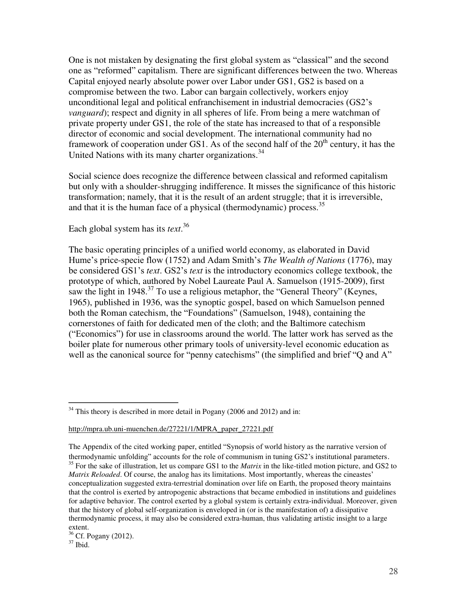One is not mistaken by designating the first global system as "classical" and the second one as "reformed" capitalism. There are significant differences between the two. Whereas Capital enjoyed nearly absolute power over Labor under GS1, GS2 is based on a compromise between the two. Labor can bargain collectively, workers enjoy unconditional legal and political enfranchisement in industrial democracies (GS2's *vanguard*); respect and dignity in all spheres of life. From being a mere watchman of private property under GS1, the role of the state has increased to that of a responsible director of economic and social development. The international community had no framework of cooperation under GS1. As of the second half of the  $20<sup>th</sup>$  century, it has the United Nations with its many charter organizations.<sup>34</sup>

Social science does recognize the difference between classical and reformed capitalism but only with a shoulder-shrugging indifference. It misses the significance of this historic transformation; namely, that it is the result of an ardent struggle; that it is irreversible, and that it is the human face of a physical (thermodynamic) process. $35$ 

Each global system has its *text*. 36

The basic operating principles of a unified world economy, as elaborated in David Hume's price-specie flow (1752) and Adam Smith's *The Wealth of Nations* (1776), may be considered GS1's *text*. GS2's *text* is the introductory economics college textbook, the prototype of which, authored by Nobel Laureate Paul A. Samuelson (1915-2009), first saw the light in 1948.<sup>37</sup> To use a religious metaphor, the "General Theory" (Keynes, 1965), published in 1936, was the synoptic gospel, based on which Samuelson penned both the Roman catechism, the "Foundations" (Samuelson, 1948), containing the cornerstones of faith for dedicated men of the cloth; and the Baltimore catechism ("Economics") for use in classrooms around the world. The latter work has served as the boiler plate for numerous other primary tools of university-level economic education as well as the canonical source for "penny catechisms" (the simplified and brief "Q and A"

 $34$  This theory is described in more detail in Pogany (2006 and 2012) and in:

[http://mpra.ub.uni-muenchen.de/27221/1/MPRA\\_paper\\_27221.pdf](http://mpra.ub.uni-muenchen.de/27221/1/MPRA_paper_27221.pdf)

The Appendix of the cited working paper, entitled "Synopsis of world history as the narrative version of thermodynamic unfolding" accounts for the role of communism in tuning GS2's institutional parameters. <sup>35</sup> For the sake of illustration, let us compare GS1 to the *Matrix* in the like-titled motion picture, and GS2 to *Matrix Reloaded*. Of course, the analog has its limitations. Most importantly, whereas the cineastes' conceptualization suggested extra-terrestrial domination over life on Earth, the proposed theory maintains that the control is exerted by antropogenic abstractions that became embodied in institutions and guidelines for adaptive behavior. The control exerted by a global system is certainly extra-individual. Moreover, given that the history of global self-organization is enveloped in (or is the manifestation of) a dissipative thermodynamic process, it may also be considered extra-human, thus validating artistic insight to a large extent.

<sup>36</sup> Cf. Pogany (2012).  $37$  Ibid.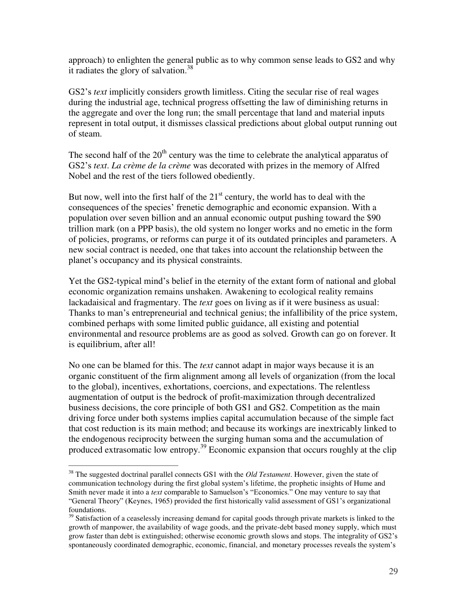approach) to enlighten the general public as to why common sense leads to GS2 and why it radiates the glory of salvation.<sup>38</sup>

GS2's *text* implicitly considers growth limitless. Citing the secular rise of real wages during the industrial age, technical progress offsetting the law of diminishing returns in the aggregate and over the long run; the small percentage that land and material inputs represent in total output, it dismisses classical predictions about global output running out of steam.

The second half of the  $20<sup>th</sup>$  century was the time to celebrate the analytical apparatus of GS2's *text*. *La crème de la crème* was decorated with prizes in the memory of Alfred Nobel and the rest of the tiers followed obediently.

But now, well into the first half of the  $21<sup>st</sup>$  century, the world has to deal with the consequences of the species' frenetic demographic and economic expansion. With a population over seven billion and an annual economic output pushing toward the \$90 trillion mark (on a PPP basis), the old system no longer works and no emetic in the form of policies, programs, or reforms can purge it of its outdated principles and parameters. A new social contract is needed, one that takes into account the relationship between the planet's occupancy and its physical constraints.

Yet the GS2-typical mind's belief in the eternity of the extant form of national and global economic organization remains unshaken. Awakening to ecological reality remains lackadaisical and fragmentary. The *text* goes on living as if it were business as usual: Thanks to man's entrepreneurial and technical genius; the infallibility of the price system, combined perhaps with some limited public guidance, all existing and potential environmental and resource problems are as good as solved. Growth can go on forever. It is equilibrium, after all!

No one can be blamed for this. The *text* cannot adapt in major ways because it is an organic constituent of the firm alignment among all levels of organization (from the local to the global), incentives, exhortations, coercions, and expectations. The relentless augmentation of output is the bedrock of profit-maximization through decentralized business decisions, the core principle of both GS1 and GS2. Competition as the main driving force under both systems implies capital accumulation because of the simple fact that cost reduction is its main method; and because its workings are inextricably linked to the endogenous reciprocity between the surging human soma and the accumulation of produced extrasomatic low entropy.<sup>39</sup> Economic expansion that occurs roughly at the clip

<sup>38</sup> The suggested doctrinal parallel connects GS1 with the *Old Testament*. However, given the state of communication technology during the first global system's lifetime, the prophetic insights of Hume and Smith never made it into a *text* comparable to Samuelson's "Economics." One may venture to say that "General Theory" (Keynes, 1965) provided the first historically valid assessment of GS1's organizational foundations.

<sup>&</sup>lt;sup>39</sup> Satisfaction of a ceaselessly increasing demand for capital goods through private markets is linked to the growth of manpower, the availability of wage goods, and the private-debt based money supply, which must grow faster than debt is extinguished; otherwise economic growth slows and stops. The integrality of GS2's spontaneously coordinated demographic, economic, financial, and monetary processes reveals the system's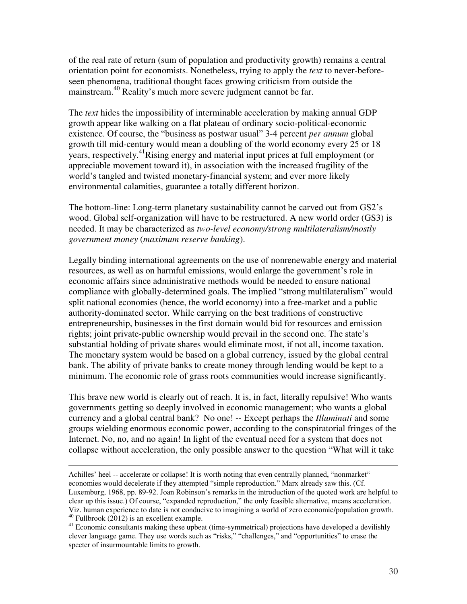of the real rate of return (sum of population and productivity growth) remains a central orientation point for economists. Nonetheless, trying to apply the *text* to never-beforeseen phenomena, traditional thought faces growing criticism from outside the mainstream.<sup>40</sup> Reality's much more severe judgment cannot be far.

The *text* hides the impossibility of interminable acceleration by making annual GDP growth appear like walking on a flat plateau of ordinary socio-political-economic existence. Of course, the "business as postwar usual" 3-4 percent *per annum* global growth till mid-century would mean a doubling of the world economy every 25 or 18 years, respectively.<sup>41</sup>Rising energy and material input prices at full employment (or appreciable movement toward it), in association with the increased fragility of the world's tangled and twisted monetary-financial system; and ever more likely environmental calamities, guarantee a totally different horizon.

The bottom-line: Long-term planetary sustainability cannot be carved out from GS2's wood. Global self-organization will have to be restructured. A new world order (GS3) is needed. It may be characterized as *two-level economy/strong multilateralism/mostly government money* (*maximum reserve banking*).

Legally binding international agreements on the use of nonrenewable energy and material resources, as well as on harmful emissions, would enlarge the government's role in economic affairs since administrative methods would be needed to ensure national compliance with globally-determined goals. The implied "strong multilateralism" would split national economies (hence, the world economy) into a free-market and a public authority-dominated sector. While carrying on the best traditions of constructive entrepreneurship, businesses in the first domain would bid for resources and emission rights; joint private-public ownership would prevail in the second one. The state's substantial holding of private shares would eliminate most, if not all, income taxation. The monetary system would be based on a global currency, issued by the global central bank. The ability of private banks to create money through lending would be kept to a minimum. The economic role of grass roots communities would increase significantly.

This brave new world is clearly out of reach. It is, in fact, literally repulsive! Who wants governments getting so deeply involved in economic management; who wants a global currency and a global central bank? No one! -- Except perhaps the *Illuminati* and some groups wielding enormous economic power, according to the conspiratorial fringes of the Internet. No, no, and no again! In light of the eventual need for a system that does not collapse without acceleration, the only possible answer to the question "What will it take

Achilles' heel -- accelerate or collapse! It is worth noting that even centrally planned, "nonmarket" economies would decelerate if they attempted "simple reproduction." Marx already saw this. (Cf. Luxemburg, 1968, pp. 89-92. Joan Robinson's remarks in the introduction of the quoted work are helpful to clear up this issue.) Of course, "expanded reproduction," the only feasible alternative, means acceleration. Viz. human experience to date is not conducive to imagining a world of zero economic/population growth.  $40$  Fullbrook (2012) is an excellent example.

<sup>&</sup>lt;sup>41</sup> Economic consultants making these upbeat (time-symmetrical) projections have developed a devilishly clever language game. They use words such as "risks," "challenges," and "opportunities" to erase the specter of insurmountable limits to growth.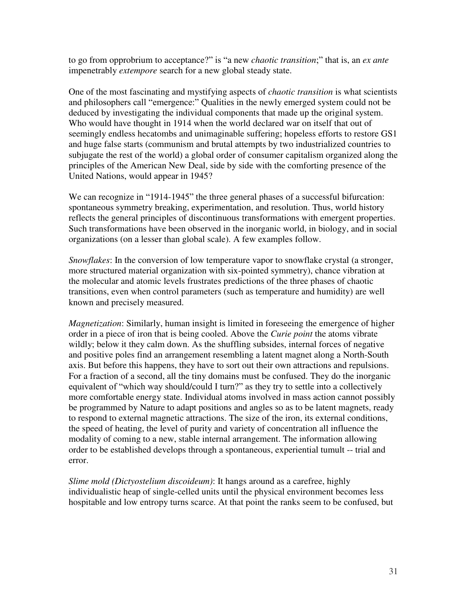to go from opprobrium to acceptance?" is "a new *chaotic transition*;" that is, an *ex ante*  impenetrably *extempore* search for a new global steady state.

One of the most fascinating and mystifying aspects of *chaotic transition* is what scientists and philosophers call "emergence:" Qualities in the newly emerged system could not be deduced by investigating the individual components that made up the original system. Who would have thought in 1914 when the world declared war on itself that out of seemingly endless hecatombs and unimaginable suffering; hopeless efforts to restore GS1 and huge false starts (communism and brutal attempts by two industrialized countries to subjugate the rest of the world) a global order of consumer capitalism organized along the principles of the American New Deal, side by side with the comforting presence of the United Nations, would appear in 1945?

We can recognize in "1914-1945" the three general phases of a successful bifurcation: spontaneous symmetry breaking, experimentation, and resolution. Thus, world history reflects the general principles of discontinuous transformations with emergent properties. Such transformations have been observed in the inorganic world, in biology, and in social organizations (on a lesser than global scale). A few examples follow.

*Snowflakes*: In the conversion of low temperature vapor to snowflake crystal (a stronger, more structured material organization with six-pointed symmetry), chance vibration at the molecular and atomic levels frustrates predictions of the three phases of chaotic transitions, even when control parameters (such as temperature and humidity) are well known and precisely measured.

*Magnetization*: Similarly, human insight is limited in foreseeing the emergence of higher order in a piece of iron that is being cooled. Above the *Curie point* the atoms vibrate wildly; below it they calm down. As the shuffling subsides, internal forces of negative and positive poles find an arrangement resembling a latent magnet along a North-South axis. But before this happens, they have to sort out their own attractions and repulsions. For a fraction of a second, all the tiny domains must be confused. They do the inorganic equivalent of "which way should/could I turn?" as they try to settle into a collectively more comfortable energy state. Individual atoms involved in mass action cannot possibly be programmed by Nature to adapt positions and angles so as to be latent magnets, ready to respond to external magnetic attractions. The size of the iron, its external conditions, the speed of heating, the level of purity and variety of concentration all influence the modality of coming to a new, stable internal arrangement. The information allowing order to be established develops through a spontaneous, experiential tumult -- trial and error.

*Slime mold (Dictyostelium discoideum)*: It hangs around as a carefree, highly individualistic heap of single-celled units until the physical environment becomes less hospitable and low entropy turns scarce. At that point the ranks seem to be confused, but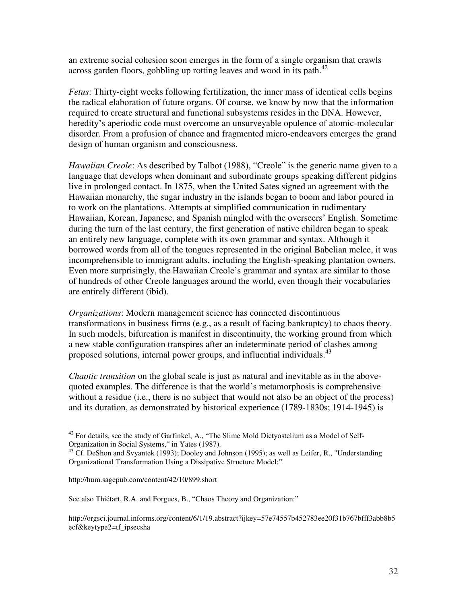an extreme social cohesion soon emerges in the form of a single organism that crawls across garden floors, gobbling up rotting leaves and wood in its path.<sup>42</sup>

*Fetus*: Thirty-eight weeks following fertilization, the inner mass of identical cells begins the radical elaboration of future organs. Of course, we know by now that the information required to create structural and functional subsystems resides in the DNA. However, heredity's aperiodic code must overcome an unsurveyable opulence of atomic-molecular disorder. From a profusion of chance and fragmented micro-endeavors emerges the grand design of human organism and consciousness.

*Hawaiian Creole*: As described by Talbot (1988), "Creole" is the generic name given to a language that develops when dominant and subordinate groups speaking different pidgins live in prolonged contact. In 1875, when the United Sates signed an agreement with the Hawaiian monarchy, the sugar industry in the islands began to boom and labor poured in to work on the plantations. Attempts at simplified communication in rudimentary Hawaiian, Korean, Japanese, and Spanish mingled with the overseers' English. Sometime during the turn of the last century, the first generation of native children began to speak an entirely new language, complete with its own grammar and syntax. Although it borrowed words from all of the tongues represented in the original Babelian melee, it was incomprehensible to immigrant adults, including the English-speaking plantation owners. Even more surprisingly, the Hawaiian Creole's grammar and syntax are similar to those of hundreds of other Creole languages around the world, even though their vocabularies are entirely different (ibid).

*Organizations*: Modern management science has connected discontinuous transformations in business firms (e.g., as a result of facing bankruptcy) to chaos theory. In such models, bifurcation is manifest in discontinuity, the working ground from which a new stable configuration transpires after an indeterminate period of clashes among proposed solutions, internal power groups, and influential individuals.<sup>43</sup>

*Chaotic transition* on the global scale is just as natural and inevitable as in the abovequoted examples. The difference is that the world's metamorphosis is comprehensive without a residue (i.e., there is no subject that would not also be an object of the process) and its duration, as demonstrated by historical experience (1789-1830s; 1914-1945) is

See also [Thiétart,](http://orgsci.journal.informs.org/search?author1=R.+A.+Thi%C3%A9tart&sortspec=date&submit=Submit) R.A. and [Forgues,](http://orgsci.journal.informs.org/search?author1=B.+Forgues&sortspec=date&submit=Submit) B., "Chaos Theory and Organization:"



 $\overline{a}$  $42$  For details, see the study of Garfinkel, A., "The Slime Mold Dictyostelium as a Model of Self-Organization in Social Systems," in Yates (1987).

 $^{43}$  Cf. DeShon and Svyantek (1993); Dooley and Johnson (1995); as well as Leifer, R., "Understanding Organizational Transformation Using a Dissipative Structure Model:**"** 

<http://hum.sagepub.com/content/42/10/899.short>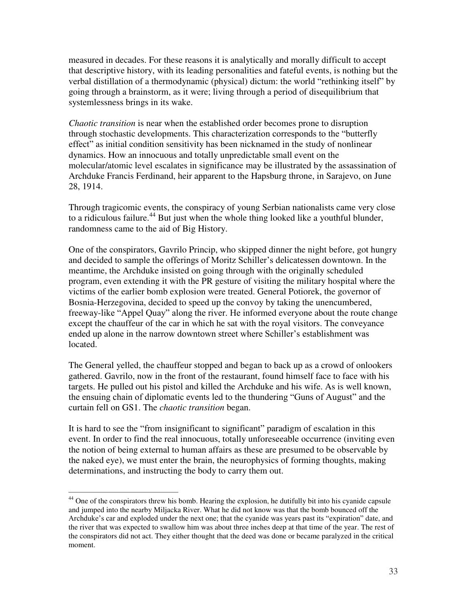measured in decades. For these reasons it is analytically and morally difficult to accept that descriptive history, with its leading personalities and fateful events, is nothing but the verbal distillation of a thermodynamic (physical) dictum: the world "rethinking itself" by going through a brainstorm, as it were; living through a period of disequilibrium that systemlessness brings in its wake.

*Chaotic transition* is near when the established order becomes prone to disruption through stochastic developments. This characterization corresponds to the "butterfly effect" as initial condition sensitivity has been nicknamed in the study of nonlinear dynamics. How an innocuous and totally unpredictable small event on the molecular/atomic level escalates in significance may be illustrated by the assassination of Archduke Francis Ferdinand, heir apparent to the Hapsburg throne, in Sarajevo, on June 28, 1914.

Through tragicomic events, the conspiracy of young Serbian nationalists came very close to a ridiculous failure.<sup>44</sup> But just when the whole thing looked like a youthful blunder, randomness came to the aid of Big History.

One of the conspirators, Gavrilo Princip, who skipped dinner the night before, got hungry and decided to sample the offerings of Moritz Schiller's delicatessen downtown. In the meantime, the Archduke insisted on going through with the originally scheduled program, even extending it with the PR gesture of visiting the military hospital where the victims of the earlier bomb explosion were treated. General Potiorek, the governor of Bosnia-Herzegovina, decided to speed up the convoy by taking the unencumbered, freeway-like "Appel Quay" along the river. He informed everyone about the route change except the chauffeur of the car in which he sat with the royal visitors. The conveyance ended up alone in the narrow downtown street where Schiller's establishment was located.

The General yelled, the chauffeur stopped and began to back up as a crowd of onlookers gathered. Gavrilo, now in the front of the restaurant, found himself face to face with his targets. He pulled out his pistol and killed the Archduke and his wife. As is well known, the ensuing chain of diplomatic events led to the thundering "Guns of August" and the curtain fell on GS1. The *chaotic transition* began.

It is hard to see the "from insignificant to significant" paradigm of escalation in this event. In order to find the real innocuous, totally unforeseeable occurrence (inviting even the notion of being external to human affairs as these are presumed to be observable by the naked eye), we must enter the brain, the neurophysics of forming thoughts, making determinations, and instructing the body to carry them out.

 $\overline{a}$ <sup>44</sup> One of the conspirators threw his bomb. Hearing the explosion, he dutifully bit into his cyanide capsule and jumped into the nearby Miljacka River. What he did not know was that the bomb bounced off the Archduke's car and exploded under the next one; that the cyanide was years past its "expiration" date, and the river that was expected to swallow him was about three inches deep at that time of the year. The rest of the conspirators did not act. They either thought that the deed was done or became paralyzed in the critical moment.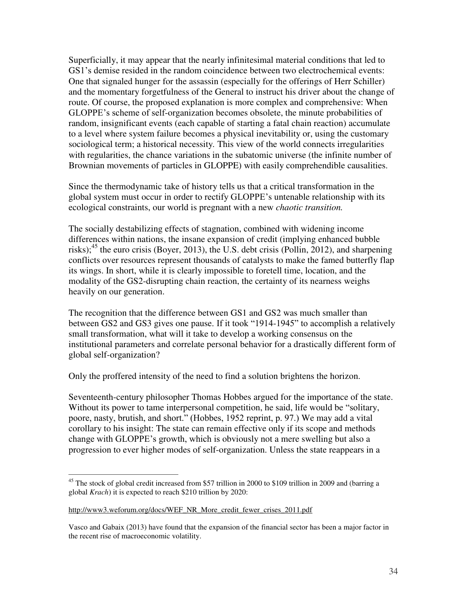Superficially, it may appear that the nearly infinitesimal material conditions that led to GS1's demise resided in the random coincidence between two electrochemical events: One that signaled hunger for the assassin (especially for the offerings of Herr Schiller) and the momentary forgetfulness of the General to instruct his driver about the change of route. Of course, the proposed explanation is more complex and comprehensive: When GLOPPE's scheme of self-organization becomes obsolete, the minute probabilities of random, insignificant events (each capable of starting a fatal chain reaction) accumulate to a level where system failure becomes a physical inevitability or, using the customary sociological term; a historical necessity*.* This view of the world connects irregularities with regularities, the chance variations in the subatomic universe (the infinite number of Brownian movements of particles in GLOPPE) with easily comprehendible causalities.

Since the thermodynamic take of history tells us that a critical transformation in the global system must occur in order to rectify GLOPPE's untenable relationship with its ecological constraints, our world is pregnant with a new *chaotic transition.* 

The socially destabilizing effects of stagnation, combined with widening income differences within nations, the insane expansion of credit (implying enhanced bubble risks);<sup>45</sup> the euro crisis (Boyer, 2013), the U.S. debt crisis (Pollin, 2012), and sharpening conflicts over resources represent thousands of catalysts to make the famed butterfly flap its wings. In short, while it is clearly impossible to foretell time, location, and the modality of the GS2-disrupting chain reaction, the certainty of its nearness weighs heavily on our generation.

The recognition that the difference between GS1 and GS2 was much smaller than between GS2 and GS3 gives one pause. If it took "1914-1945" to accomplish a relatively small transformation, what will it take to develop a working consensus on the institutional parameters and correlate personal behavior for a drastically different form of global self-organization?

Only the proffered intensity of the need to find a solution brightens the horizon.

Seventeenth-century philosopher Thomas Hobbes argued for the importance of the state. Without its power to tame interpersonal competition, he said, life would be "solitary, poore, nasty, brutish, and short." (Hobbes, 1952 reprint, p. 97.) We may add a vital corollary to his insight: The state can remain effective only if its scope and methods change with GLOPPE's growth, which is obviously not a mere swelling but also a progression to ever higher modes of self-organization. Unless the state reappears in a

 $\overline{a}$  $45$  The stock of global credit increased from \$57 trillion in 2000 to \$109 trillion in 2009 and (barring a global *Krach*) it is expected to reach \$210 trillion by 2020:

[http://www3.weforum.org/docs/WEF\\_NR\\_More\\_credit\\_fewer\\_crises\\_2011.pdf](http://www3.weforum.org/docs/WEF_NR_More_credit_fewer_crises_2011.pdf)

Vasco and Gabaix (2013) have found that the expansion of the financial sector has been a major factor in the recent rise of macroeconomic volatility.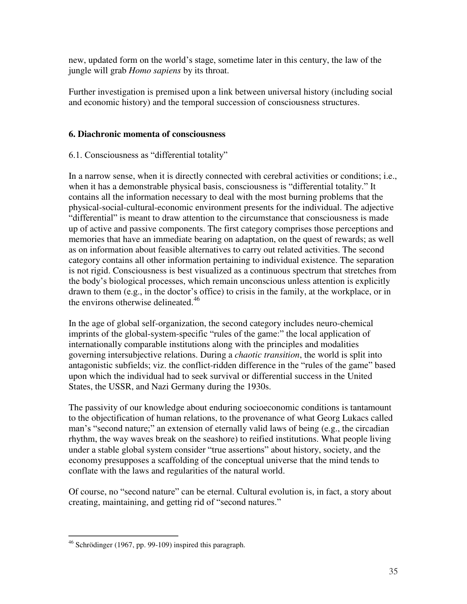new, updated form on the world's stage, sometime later in this century, the law of the jungle will grab *Homo sapiens* by its throat.

Further investigation is premised upon a link between universal history (including social and economic history) and the temporal succession of consciousness structures.

# **6. Diachronic momenta of consciousness**

# 6.1. Consciousness as "differential totality"

In a narrow sense, when it is directly connected with cerebral activities or conditions; i.e., when it has a demonstrable physical basis, consciousness is "differential totality." It contains all the information necessary to deal with the most burning problems that the physical-social-cultural-economic environment presents for the individual. The adjective "differential" is meant to draw attention to the circumstance that consciousness is made up of active and passive components. The first category comprises those perceptions and memories that have an immediate bearing on adaptation, on the quest of rewards; as well as on information about feasible alternatives to carry out related activities. The second category contains all other information pertaining to individual existence. The separation is not rigid. Consciousness is best visualized as a continuous spectrum that stretches from the body's biological processes, which remain unconscious unless attention is explicitly drawn to them (e.g., in the doctor's office) to crisis in the family, at the workplace, or in the environs otherwise delineated.<sup>46</sup>

In the age of global self-organization, the second category includes neuro-chemical imprints of the global-system-specific "rules of the game:" the local application of internationally comparable institutions along with the principles and modalities governing intersubjective relations. During a *chaotic transition*, the world is split into antagonistic subfields; viz. the conflict-ridden difference in the "rules of the game" based upon which the individual had to seek survival or differential success in the United States, the USSR, and Nazi Germany during the 1930s.

The passivity of our knowledge about enduring socioeconomic conditions is tantamount to the objectification of human relations, to the provenance of what Georg Lukacs called man's "second nature;" an extension of eternally valid laws of being (e.g., the circadian rhythm, the way waves break on the seashore) to reified institutions. What people living under a stable global system consider "true assertions" about history, society, and the economy presupposes a scaffolding of the conceptual universe that the mind tends to conflate with the laws and regularities of the natural world.

Of course, no "second nature" can be eternal. Cultural evolution is, in fact, a story about creating, maintaining, and getting rid of "second natures."

 $\overline{a}$  $46$  Schrödinger (1967, pp. 99-109) inspired this paragraph.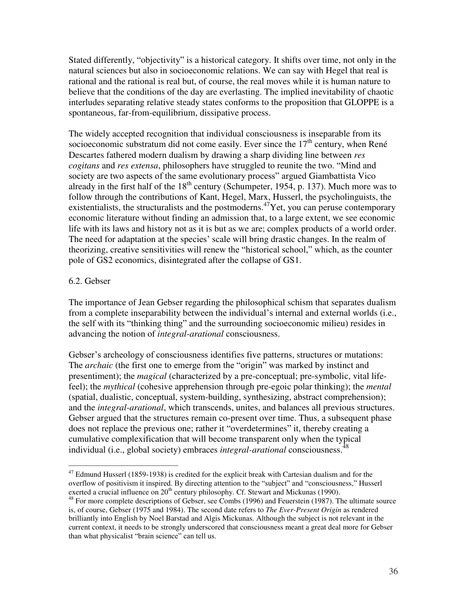Stated differently, "objectivity" is a historical category. It shifts over time, not only in the natural sciences but also in socioeconomic relations. We can say with Hegel that real is rational and the rational is real but, of course, the real moves while it is human nature to believe that the conditions of the day are everlasting. The implied inevitability of chaotic interludes separating relative steady states conforms to the proposition that GLOPPE is a spontaneous, far-from-equilibrium, dissipative process.

The widely accepted recognition that individual consciousness is inseparable from its socioeconomic substratum did not come easily. Ever since the  $17<sup>th</sup>$  century, when René Descartes fathered modern dualism by drawing a sharp dividing line between *res cogitans* and *res extensa*, philosophers have struggled to reunite the two. "Mind and society are two aspects of the same evolutionary process" argued Giambattista Vico already in the first half of the  $18<sup>th</sup>$  century (Schumpeter, 1954, p. 137). Much more was to follow through the contributions of Kant, Hegel, Marx, Husserl, the psycholinguists, the existentialists, the structuralists and the postmoderns.<sup>47</sup>Yet, you can peruse contemporary economic literature without finding an admission that, to a large extent, we see economic life with its laws and history not as it is but as we are; complex products of a world order. The need for adaptation at the species' scale will bring drastic changes. In the realm of theorizing, creative sensitivities will renew the "historical school," which, as the counter pole of GS2 economics, disintegrated after the collapse of GS1.

## 6.2. Gebser

 $\overline{a}$ 

The importance of Jean Gebser regarding the philosophical schism that separates dualism from a complete inseparability between the individual's internal and external worlds (i.e., the self with its "thinking thing" and the surrounding socioeconomic milieu) resides in advancing the notion of *integral-arational* consciousness.

Gebser's archeology of consciousness identifies five patterns, structures or mutations: The *archaic* (the first one to emerge from the "origin" was marked by instinct and presentiment); the *magical* (characterized by a pre-conceptual; pre-symbolic, vital lifefeel); the *mythical* (cohesive apprehension through pre-egoic polar thinking); the *mental* (spatial, dualistic, conceptual, system-building, synthesizing, abstract comprehension); and the *integral-arational*, which transcends, unites, and balances all previous structures. Gebser argued that the structures remain co-present over time. Thus, a subsequent phase does not replace the previous one; rather it "overdetermines" it, thereby creating a cumulative complexification that will become transparent only when the typical individual (i.e., global society) embraces *integral-arational* consciousness.<sup>4</sup>

 $47$  Edmund Husserl (1859-1938) is credited for the explicit break with Cartesian dualism and for the overflow of positivism it inspired. By directing attention to the "subject" and "consciousness," Husserl exerted a crucial influence on  $20<sup>th</sup>$  century philosophy. Cf. Stewart and Mickunas (1990).

 $48$  For more complete descriptions of Gebser, see Combs (1996) and Feuerstein (1987). The ultimate source is, of course, Gebser (1975 and 1984). The second date refers to *The Ever-Present Origin* as rendered brilliantly into English by Noel Barstad and Algis Mickunas. Although the subject is not relevant in the current context, it needs to be strongly underscored that consciousness meant a great deal more for Gebser than what physicalist "brain science" can tell us.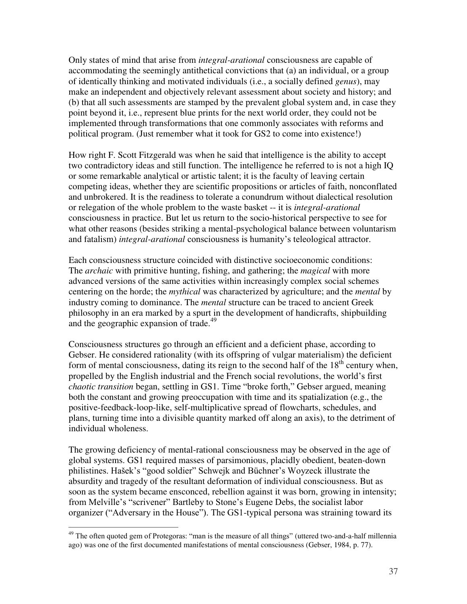Only states of mind that arise from *integral-arational* consciousness are capable of accommodating the seemingly antithetical convictions that (a) an individual, or a group of identically thinking and motivated individuals (i.e., a socially defined *genus*), may make an independent and objectively relevant assessment about society and history; and (b) that all such assessments are stamped by the prevalent global system and, in case they point beyond it, i.e., represent blue prints for the next world order, they could not be implemented through transformations that one commonly associates with reforms and political program. (Just remember what it took for GS2 to come into existence!)

How right F. Scott Fitzgerald was when he said that intelligence is the ability to accept two contradictory ideas and still function. The intelligence he referred to is not a high IQ or some remarkable analytical or artistic talent; it is the faculty of leaving certain competing ideas, whether they are scientific propositions or articles of faith, nonconflated and unbrokered. It is the readiness to tolerate a conundrum without dialectical resolution or relegation of the whole problem to the waste basket -- it is *integral-arational* consciousness in practice. But let us return to the socio-historical perspective to see for what other reasons (besides striking a mental-psychological balance between voluntarism and fatalism) *integral-arational* consciousness is humanity's teleological attractor.

Each consciousness structure coincided with distinctive socioeconomic conditions: The *archaic* with primitive hunting, fishing, and gathering; the *magical* with more advanced versions of the same activities within increasingly complex social schemes centering on the horde; the *mythical* was characterized by agriculture; and the *mental* by industry coming to dominance. The *mental* structure can be traced to ancient Greek philosophy in an era marked by a spurt in the development of handicrafts, shipbuilding and the geographic expansion of trade.<sup>49</sup>

Consciousness structures go through an efficient and a deficient phase, according to Gebser. He considered rationality (with its offspring of vulgar materialism) the deficient form of mental consciousness, dating its reign to the second half of the  $18<sup>th</sup>$  century when, propelled by the English industrial and the French social revolutions, the world's first *chaotic transition* began, settling in GS1. Time "broke forth," Gebser argued, meaning both the constant and growing preoccupation with time and its spatialization (e.g., the positive-feedback-loop-like, self-multiplicative spread of flowcharts, schedules, and plans, turning time into a divisible quantity marked off along an axis), to the detriment of individual wholeness.

The growing deficiency of mental-rational consciousness may be observed in the age of global systems. GS1 required masses of parsimonious, placidly obedient, beaten-down philistines. Hašek's "good soldier" Schwejk and Büchner's Woyzeck illustrate the absurdity and tragedy of the resultant deformation of individual consciousness. But as soon as the system became ensconced, rebellion against it was born, growing in intensity; from Melville's "scrivener" Bartleby to Stone's Eugene Debs, the socialist labor organizer ("Adversary in the House"). The GS1-typical persona was straining toward its

<sup>&</sup>lt;sup>49</sup> The often quoted gem of Protegoras: "man is the measure of all things" (uttered two-and-a-half millennia ago) was one of the first documented manifestations of mental consciousness (Gebser, 1984, p. 77).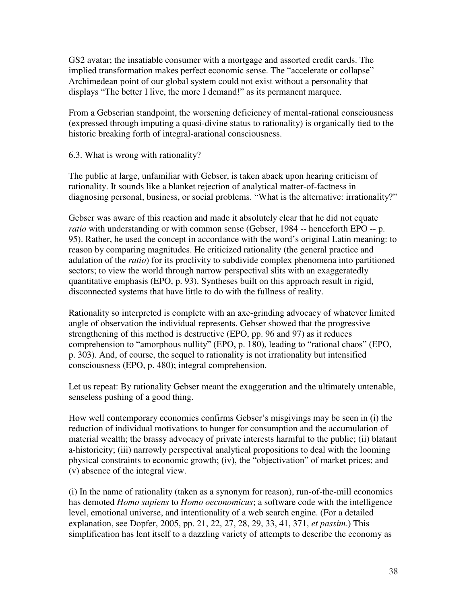GS2 avatar; the insatiable consumer with a mortgage and assorted credit cards. The implied transformation makes perfect economic sense. The "accelerate or collapse" Archimedean point of our global system could not exist without a personality that displays "The better I live, the more I demand!" as its permanent marquee.

From a Gebserian standpoint, the worsening deficiency of mental-rational consciousness (expressed through imputing a quasi-divine status to rationality) is organically tied to the historic breaking forth of integral-arational consciousness.

6.3. What is wrong with rationality?

The public at large, unfamiliar with Gebser, is taken aback upon hearing criticism of rationality. It sounds like a blanket rejection of analytical matter-of-factness in diagnosing personal, business, or social problems. "What is the alternative: irrationality?"

Gebser was aware of this reaction and made it absolutely clear that he did not equate *ratio* with understanding or with common sense (Gebser, 1984 -- henceforth EPO -- p. 95). Rather, he used the concept in accordance with the word's original Latin meaning: to reason by comparing magnitudes. He criticized rationality (the general practice and adulation of the *ratio*) for its proclivity to subdivide complex phenomena into partitioned sectors; to view the world through narrow perspectival slits with an exaggeratedly quantitative emphasis (EPO, p. 93). Syntheses built on this approach result in rigid, disconnected systems that have little to do with the fullness of reality.

Rationality so interpreted is complete with an axe-grinding advocacy of whatever limited angle of observation the individual represents. Gebser showed that the progressive strengthening of this method is destructive (EPO, pp. 96 and 97) as it reduces comprehension to "amorphous nullity" (EPO, p. 180), leading to "rational chaos" (EPO, p. 303). And, of course, the sequel to rationality is not irrationality but intensified consciousness (EPO, p. 480); integral comprehension.

Let us repeat: By rationality Gebser meant the exaggeration and the ultimately untenable, senseless pushing of a good thing.

How well contemporary economics confirms Gebser's misgivings may be seen in (i) the reduction of individual motivations to hunger for consumption and the accumulation of material wealth; the brassy advocacy of private interests harmful to the public; (ii) blatant a-historicity; (iii) narrowly perspectival analytical propositions to deal with the looming physical constraints to economic growth; (iv), the "objectivation" of market prices; and (v) absence of the integral view.

(i) In the name of rationality (taken as a synonym for reason), run-of-the-mill economics has demoted *Homo sapiens* to *Homo oeconomicus*; a software code with the intelligence level, emotional universe, and intentionality of a web search engine. (For a detailed explanation, see Dopfer, 2005, pp. 21, 22, 27, 28, 29, 33, 41, 371, *et passim*.) This simplification has lent itself to a dazzling variety of attempts to describe the economy as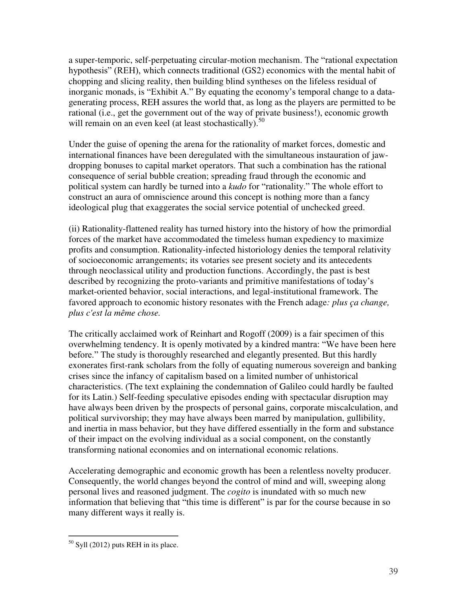a super-temporic, self-perpetuating circular-motion mechanism. The "rational expectation hypothesis" (REH), which connects traditional (GS2) economics with the mental habit of chopping and slicing reality, then building blind syntheses on the lifeless residual of inorganic monads, is "Exhibit A." By equating the economy's temporal change to a datagenerating process, REH assures the world that, as long as the players are permitted to be rational (i.e., get the government out of the way of private business!), economic growth will remain on an even keel (at least stochastically).<sup>50</sup>

Under the guise of opening the arena for the rationality of market forces, domestic and international finances have been deregulated with the simultaneous instauration of jawdropping bonuses to capital market operators. That such a combination has the rational consequence of serial bubble creation; spreading fraud through the economic and political system can hardly be turned into a *kudo* for "rationality." The whole effort to construct an aura of omniscience around this concept is nothing more than a fancy ideological plug that exaggerates the social service potential of unchecked greed.

(ii) Rationality-flattened reality has turned history into the history of how the primordial forces of the market have accommodated the timeless human expediency to maximize profits and consumption. Rationality-infected historiology denies the temporal relativity of socioeconomic arrangements; its votaries see present society and its antecedents through neoclassical utility and production functions. Accordingly, the past is best described by recognizing the proto-variants and primitive manifestations of today's market-oriented behavior, social interactions, and legal-institutional framework. The favored approach to economic history resonates with the French adage*: plus ça change, plus c'est la même chose.* 

The critically acclaimed work of Reinhart and Rogoff (2009) is a fair specimen of this overwhelming tendency. It is openly motivated by a kindred mantra: "We have been here before." The study is thoroughly researched and elegantly presented. But this hardly exonerates first-rank scholars from the folly of equating numerous sovereign and banking crises since the infancy of capitalism based on a limited number of unhistorical characteristics. (The text explaining the condemnation of Galileo could hardly be faulted for its Latin.) Self-feeding speculative episodes ending with spectacular disruption may have always been driven by the prospects of personal gains, corporate miscalculation, and political survivorship; they may have always been marred by manipulation, gullibility, and inertia in mass behavior, but they have differed essentially in the form and substance of their impact on the evolving individual as a social component, on the constantly transforming national economies and on international economic relations.

Accelerating demographic and economic growth has been a relentless novelty producer. Consequently, the world changes beyond the control of mind and will, sweeping along personal lives and reasoned judgment. The *cogito* is inundated with so much new information that believing that "this time is different" is par for the course because in so many different ways it really is.

 $\overline{a}$  $50$  Syll (2012) puts REH in its place.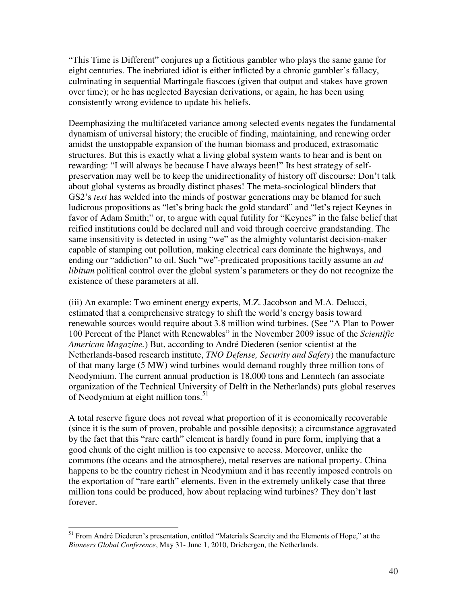"This Time is Different" conjures up a fictitious gambler who plays the same game for eight centuries. The inebriated idiot is either inflicted by a chronic gambler's fallacy, culminating in sequential Martingale fiascoes (given that output and stakes have grown over time); or he has neglected Bayesian derivations, or again, he has been using consistently wrong evidence to update his beliefs.

Deemphasizing the multifaceted variance among selected events negates the fundamental dynamism of universal history; the crucible of finding, maintaining, and renewing order amidst the unstoppable expansion of the human biomass and produced, extrasomatic structures. But this is exactly what a living global system wants to hear and is bent on rewarding: "I will always be because I have always been!" Its best strategy of selfpreservation may well be to keep the unidirectionality of history off discourse: Don't talk about global systems as broadly distinct phases! The meta-sociological blinders that GS2's *text* has welded into the minds of postwar generations may be blamed for such ludicrous propositions as "let's bring back the gold standard" and "let's reject Keynes in favor of Adam Smith;" or, to argue with equal futility for "Keynes" in the false belief that reified institutions could be declared null and void through coercive grandstanding. The same insensitivity is detected in using "we" as the almighty voluntarist decision-maker capable of stamping out pollution, making electrical cars dominate the highways, and ending our "addiction" to oil. Such "we"-predicated propositions tacitly assume an *ad libitum* political control over the global system's parameters or they do not recognize the existence of these parameters at all.

(iii) An example: Two eminent energy experts, M.Z. Jacobson and M.A. Delucci, estimated that a comprehensive strategy to shift the world's energy basis toward renewable sources would require about 3.8 million wind turbines. (See "A Plan to Power 100 Percent of the Planet with Renewables" in the November 2009 issue of the *Scientific American Magazine.*) But, according to André Diederen (senior scientist at the Netherlands-based research institute, *TNO Defense, Security and Safety*) the manufacture of that many large (5 MW) wind turbines would demand roughly three million tons of Neodymium. The current annual production is 18,000 tons and Lenntech (an associate organization of the Technical University of Delft in the Netherlands) puts global reserves of Neodymium at eight million tons.<sup>51</sup>

A total reserve figure does not reveal what proportion of it is economically recoverable (since it is the sum of proven, probable and possible deposits); a circumstance aggravated by the fact that this "rare earth" element is hardly found in pure form, implying that a good chunk of the eight million is too expensive to access. Moreover, unlike the commons (the oceans and the atmosphere), metal reserves are national property. China happens to be the country richest in Neodymium and it has recently imposed controls on the exportation of "rare earth" elements. Even in the extremely unlikely case that three million tons could be produced, how about replacing wind turbines? They don't last forever.

<sup>&</sup>lt;sup>51</sup> From André Diederen's presentation, entitled "Materials Scarcity and the Elements of Hope," at the *Bioneers Global Conference*, May 31- June 1, 2010, Driebergen, the Netherlands.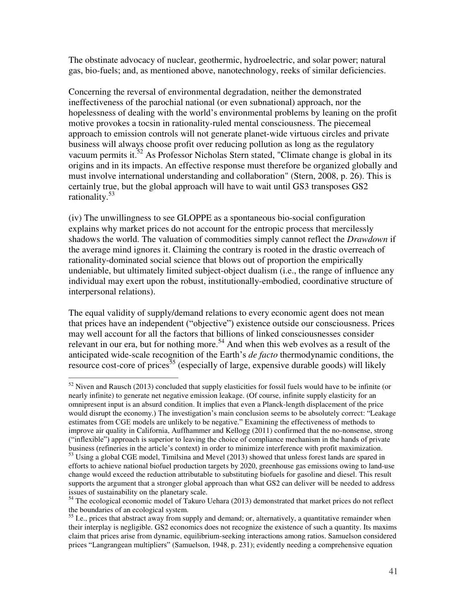The obstinate advocacy of nuclear, geothermic, hydroelectric, and solar power; natural gas, bio-fuels; and, as mentioned above, nanotechnology, reeks of similar deficiencies.

Concerning the reversal of environmental degradation, neither the demonstrated ineffectiveness of the parochial national (or even subnational) approach, nor the hopelessness of dealing with the world's environmental problems by leaning on the profit motive provokes a tocsin in rationality-ruled mental consciousness. The piecemeal approach to emission controls will not generate planet-wide virtuous circles and private business will always choose profit over reducing pollution as long as the regulatory vacuum permits it.<sup>52</sup> As Professor Nicholas Stern stated, "Climate change is global in its origins and in its impacts. An effective response must therefore be organized globally and must involve international understanding and collaboration" (Stern, 2008, p. 26). This is certainly true, but the global approach will have to wait until GS3 transposes GS2 rationality.<sup>53</sup>

(iv) The unwillingness to see GLOPPE as a spontaneous bio-social configuration explains why market prices do not account for the entropic process that mercilessly shadows the world. The valuation of commodities simply cannot reflect the *Drawdown* if the average mind ignores it. Claiming the contrary is rooted in the drastic overreach of rationality-dominated social science that blows out of proportion the empirically undeniable, but ultimately limited subject-object dualism (i.e., the range of influence any individual may exert upon the robust, institutionally-embodied, coordinative structure of interpersonal relations).

The equal validity of supply/demand relations to every economic agent does not mean that prices have an independent ("objective") existence outside our consciousness. Prices may well account for all the factors that billions of linked consciousnesses consider relevant in our era, but for nothing more.<sup>54</sup> And when this web evolves as a result of the anticipated wide-scale recognition of the Earth's *de facto* thermodynamic conditions, the resource cost-core of prices<sup>55</sup> (especially of large, expensive durable goods) will likely

 $52$  Niven and Rausch (2013) concluded that supply elasticities for fossil fuels would have to be infinite (or nearly infinite) to generate net negative emission leakage. (Of course, infinite supply elasticity for an omnipresent input is an absurd condition. It implies that even a Planck-length displacement of the price would disrupt the economy.) The investigation's main conclusion seems to be absolutely correct: "Leakage estimates from CGE models are unlikely to be negative." Examining the effectiveness of methods to improve air quality in California, Auffhammer and Kellogg (2011) confirmed that the no-nonsense, strong ("inflexible") approach is superior to leaving the choice of compliance mechanism in the hands of private business (refineries in the article's context) in order to minimize interference with profit maximization.

<sup>&</sup>lt;sup>53</sup> Using a global CGE model, Timilsina and Mevel (2013) showed that unless forest lands are spared in efforts to achieve national biofuel production targets by 2020, greenhouse gas emissions owing to land-use change would exceed the reduction attributable to substituting biofuels for gasoline and diesel. This result supports the argument that a stronger global approach than what GS2 can deliver will be needed to address issues of sustainability on the planetary scale.

<sup>&</sup>lt;sup>54</sup> The ecological economic model of Takuro Uehara (2013) demonstrated that market prices do not reflect the boundaries of an ecological system.

<sup>&</sup>lt;sup>55</sup> I.e., prices that abstract away from supply and demand; or, alternatively, a quantitative remainder when their interplay is negligible. GS2 economics does not recognize the existence of such a quantity. Its maxims claim that prices arise from dynamic, equilibrium-seeking interactions among ratios. Samuelson considered prices "Langrangean multipliers" (Samuelson, 1948, p. 231); evidently needing a comprehensive equation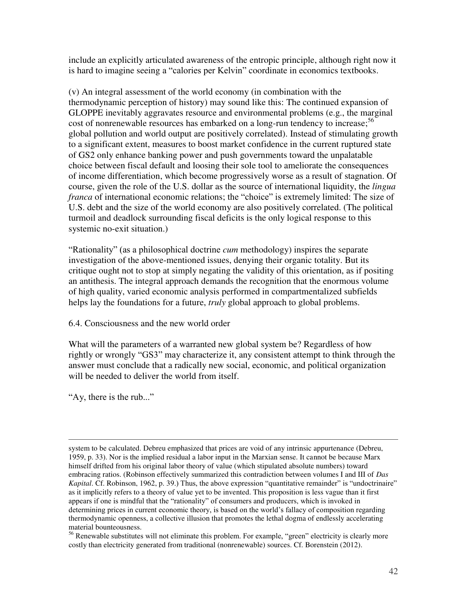include an explicitly articulated awareness of the entropic principle, although right now it is hard to imagine seeing a "calories per Kelvin" coordinate in economics textbooks.

(v) An integral assessment of the world economy (in combination with the thermodynamic perception of history) may sound like this: The continued expansion of GLOPPE inevitably aggravates resource and environmental problems (e.g., the marginal cost of nonrenewable resources has embarked on a long-run tendency to increase;<sup>56</sup> global pollution and world output are positively correlated). Instead of stimulating growth to a significant extent, measures to boost market confidence in the current ruptured state of GS2 only enhance banking power and push governments toward the unpalatable choice between fiscal default and loosing their sole tool to ameliorate the consequences of income differentiation, which become progressively worse as a result of stagnation. Of course, given the role of the U.S. dollar as the source of international liquidity, the *lingua franca* of international economic relations; the "choice" is extremely limited: The size of U.S. debt and the size of the world economy are also positively correlated. (The political turmoil and deadlock surrounding fiscal deficits is the only logical response to this systemic no-exit situation.)

"Rationality" (as a philosophical doctrine *cum* methodology) inspires the separate investigation of the above-mentioned issues, denying their organic totality. But its critique ought not to stop at simply negating the validity of this orientation, as if positing an antithesis. The integral approach demands the recognition that the enormous volume of high quality, varied economic analysis performed in compartmentalized subfields helps lay the foundations for a future, *truly* global approach to global problems.

6.4. Consciousness and the new world order

What will the parameters of a warranted new global system be? Regardless of how rightly or wrongly "GS3" may characterize it, any consistent attempt to think through the answer must conclude that a radically new social, economic, and political organization will be needed to deliver the world from itself.

"Ay, there is the rub..."

 $\overline{a}$ system to be calculated. Debreu emphasized that prices are void of any intrinsic appurtenance (Debreu, 1959, p. 33). Nor is the implied residual a labor input in the Marxian sense. It cannot be because Marx himself drifted from his original labor theory of value (which stipulated absolute numbers) toward embracing ratios. (Robinson effectively summarized this contradiction between volumes I and III of *Das Kapital*. Cf. Robinson, 1962, p. 39.) Thus, the above expression "quantitative remainder" is "undoctrinaire" as it implicitly refers to a theory of value yet to be invented. This proposition is less vague than it first appears if one is mindful that the "rationality" of consumers and producers, which is invoked in determining prices in current economic theory, is based on the world's fallacy of composition regarding thermodynamic openness, a collective illusion that promotes the lethal dogma of endlessly accelerating material bounteousness.

<sup>&</sup>lt;sup>56</sup> Renewable substitutes will not eliminate this problem. For example, "green" electricity is clearly more costly than electricity generated from traditional (nonrenewable) sources. Cf. Borenstein (2012).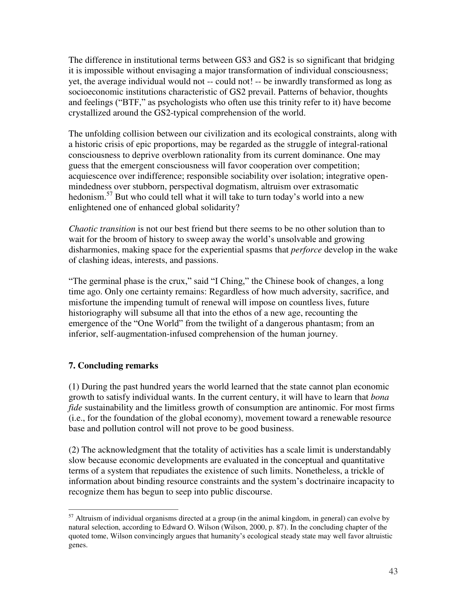The difference in institutional terms between GS3 and GS2 is so significant that bridging it is impossible without envisaging a major transformation of individual consciousness; yet, the average individual would not -- could not! -- be inwardly transformed as long as socioeconomic institutions characteristic of GS2 prevail. Patterns of behavior, thoughts and feelings ("BTF," as psychologists who often use this trinity refer to it) have become crystallized around the GS2-typical comprehension of the world.

The unfolding collision between our civilization and its ecological constraints, along with a historic crisis of epic proportions, may be regarded as the struggle of integral-rational consciousness to deprive overblown rationality from its current dominance. One may guess that the emergent consciousness will favor cooperation over competition; acquiescence over indifference; responsible sociability over isolation; integrative openmindedness over stubborn, perspectival dogmatism, altruism over extrasomatic hedonism.<sup>57</sup> But who could tell what it will take to turn today's world into a new enlightened one of enhanced global solidarity?

*Chaotic transition* is not our best friend but there seems to be no other solution than to wait for the broom of history to sweep away the world's unsolvable and growing disharmonies, making space for the experiential spasms that *perforce* develop in the wake of clashing ideas, interests, and passions.

"The germinal phase is the crux," said "I Ching," the Chinese book of changes, a long time ago. Only one certainty remains: Regardless of how much adversity, sacrifice, and misfortune the impending tumult of renewal will impose on countless lives, future historiography will subsume all that into the ethos of a new age, recounting the emergence of the "One World" from the twilight of a dangerous phantasm; from an inferior, self-augmentation-infused comprehension of the human journey.

# **7. Concluding remarks**

 $\overline{a}$ 

(1) During the past hundred years the world learned that the state cannot plan economic growth to satisfy individual wants. In the current century, it will have to learn that *bona fide* sustainability and the limitless growth of consumption are antinomic. For most firms (i.e., for the foundation of the global economy), movement toward a renewable resource base and pollution control will not prove to be good business.

(2) The acknowledgment that the totality of activities has a scale limit is understandably slow because economic developments are evaluated in the conceptual and quantitative terms of a system that repudiates the existence of such limits. Nonetheless, a trickle of information about binding resource constraints and the system's doctrinaire incapacity to recognize them has begun to seep into public discourse.

 $57$  Altruism of individual organisms directed at a group (in the animal kingdom, in general) can evolve by natural selection, according to Edward O. Wilson (Wilson, 2000, p. 87). In the concluding chapter of the quoted tome, Wilson convincingly argues that humanity's ecological steady state may well favor altruistic genes.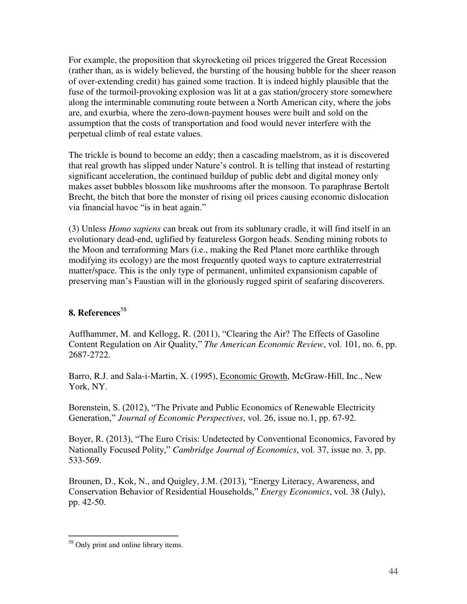For example, the proposition that skyrocketing oil prices triggered the Great Recession (rather than, as is widely believed, the bursting of the housing bubble for the sheer reason of over-extending credit) has gained some traction. It is indeed highly plausible that the fuse of the turmoil-provoking explosion was lit at a gas station/grocery store somewhere along the interminable commuting route between a North American city, where the jobs are, and exurbia, where the zero-down-payment houses were built and sold on the assumption that the costs of transportation and food would never interfere with the perpetual climb of real estate values.

The trickle is bound to become an eddy; then a cascading maelstrom, as it is discovered that real growth has slipped under Nature's control. It is telling that instead of restarting significant acceleration, the continued buildup of public debt and digital money only makes asset bubbles blossom like mushrooms after the monsoon. To paraphrase Bertolt Brecht, the bitch that bore the monster of rising oil prices causing economic dislocation via financial havoc "is in heat again."

(3) Unless *Homo sapiens* can break out from its sublunary cradle, it will find itself in an evolutionary dead-end, uglified by featureless Gorgon heads. Sending mining robots to the Moon and terraforming Mars (i.e., making the Red Planet more earthlike through modifying its ecology) are the most frequently quoted ways to capture extraterrestrial matter/space. This is the only type of permanent, unlimited expansionism capable of preserving man's Faustian will in the gloriously rugged spirit of seafaring discoverers.

# **8. References**<sup>58</sup>

Auffhammer, M. and Kellogg, R. (2011), "Clearing the Air? The Effects of Gasoline Content Regulation on Air Quality," *The American Economic Review*, vol. 101, no. 6, pp. 2687-2722.

Barro, R.J. and Sala-i-Martin, X. (1995), Economic Growth, McGraw-Hill, Inc., New York, NY.

Borenstein, S. (2012), "The Private and Public Economics of Renewable Electricity Generation," *Journal of Economic Perspectives*, vol. 26, issue no.1, pp. 67-92.

Boyer, R. (2013), "The Euro Crisis: Undetected by Conventional Economics, Favored by Nationally Focused Polity," *Cambridge Journal of Economics*, vol. 37, issue no. 3, pp. 533-569.

Brounen, D., Kok, N., and Quigley, J.M. (2013), "Energy Literacy, Awareness, and Conservation Behavior of Residential Households," *Energy Economics*, vol. 38 (July), pp. 42-50.

<sup>&</sup>lt;sup>58</sup> Only print and online library items.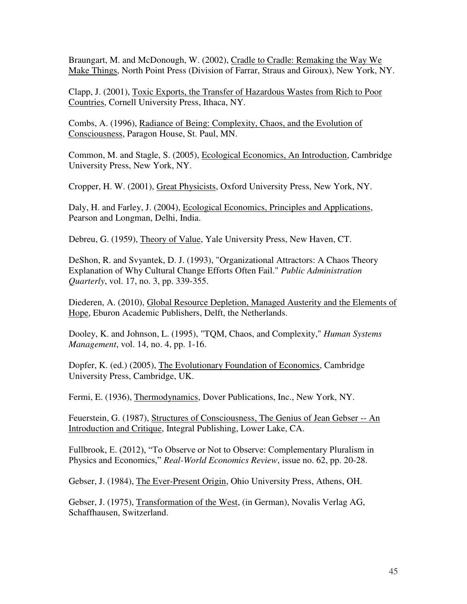Braungart, M. and McDonough, W. (2002), Cradle to Cradle: Remaking the Way We Make Things, North Point Press (Division of Farrar, Straus and Giroux), New York, NY.

Clapp, J. (2001), Toxic Exports, the Transfer of Hazardous Wastes from Rich to Poor Countries, Cornell University Press, Ithaca, NY.

Combs, A. (1996), Radiance of Being: Complexity, Chaos, and the Evolution of Consciousness, Paragon House, St. Paul, MN.

Common, M. and Stagle, S. (2005), Ecological Economics, An Introduction, Cambridge University Press, New York, NY.

Cropper, H. W. (2001), Great Physicists, Oxford University Press, New York, NY.

Daly, H. and Farley, J. (2004), Ecological Economics, Principles and Applications, Pearson and Longman, Delhi, India.

Debreu, G. (1959), Theory of Value, Yale University Press, New Haven, CT.

DeShon, R. and Svyantek, D. J. (1993), "Organizational Attractors: A Chaos Theory Explanation of Why Cultural Change Efforts Often Fail." *Public Administration Quarterly*, vol. 17, no. 3, pp. 339-355.

Diederen, A. (2010), Global Resource Depletion, Managed Austerity and the Elements of Hope, Eburon Academic Publishers, Delft, the Netherlands.

Dooley, K. and Johnson, L. (1995), "TQM, Chaos, and Complexity," *Human Systems Management*, vol. 14, no. 4, pp. 1-16.

Dopfer, K. (ed.) (2005), The Evolutionary Foundation of Economics, Cambridge University Press, Cambridge, UK.

Fermi, E. (1936), Thermodynamics, Dover Publications, Inc., New York, NY.

Feuerstein, G. (1987), Structures of Consciousness, The Genius of Jean Gebser -- An Introduction and Critique, Integral Publishing, Lower Lake, CA.

Fullbrook, E. (2012), "To Observe or Not to Observe: Complementary Pluralism in Physics and Economics," *Real-World Economics Review*, issue no. 62, pp. 20-28.

Gebser, J. (1984), The Ever-Present Origin, Ohio University Press, Athens, OH.

Gebser, J. (1975), Transformation of the West, (in German), Novalis Verlag AG, Schaffhausen, Switzerland.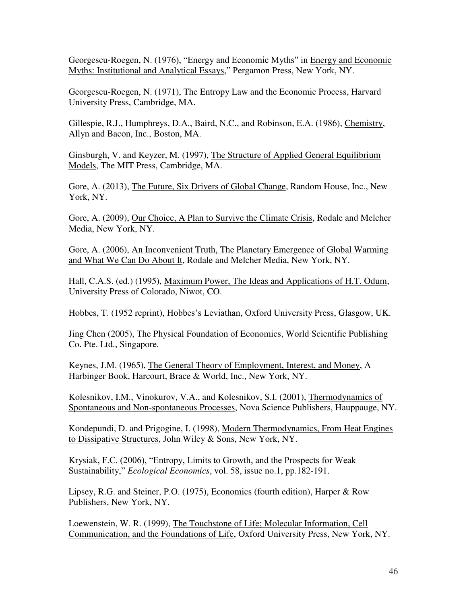Georgescu-Roegen, N. (1976), "Energy and Economic Myths" in Energy and Economic Myths: Institutional and Analytical Essays," Pergamon Press, New York, NY.

Georgescu-Roegen, N. (1971), The Entropy Law and the Economic Process, Harvard University Press, Cambridge, MA.

Gillespie, R.J., Humphreys, D.A., Baird, N.C., and Robinson, E.A. (1986), Chemistry, Allyn and Bacon, Inc., Boston, MA.

Ginsburgh, V. and Keyzer, M. (1997), The Structure of Applied General Equilibrium Models, The MIT Press, Cambridge, MA.

Gore, A. (2013), The Future, Six Drivers of Global Change, Random House, Inc., New York, NY.

Gore, A. (2009), Our Choice, A Plan to Survive the Climate Crisis, Rodale and Melcher Media, New York, NY.

Gore, A. (2006), An Inconvenient Truth, The Planetary Emergence of Global Warming and What We Can Do About It, Rodale and Melcher Media, New York, NY.

Hall, C.A.S. (ed.) (1995), Maximum Power, The Ideas and Applications of H.T. Odum, University Press of Colorado, Niwot, CO.

Hobbes, T. (1952 reprint), Hobbes's Leviathan, Oxford University Press, Glasgow, UK.

Jing Chen (2005), The Physical Foundation of Economics, World Scientific Publishing Co. Pte. Ltd., Singapore.

Keynes, J.M. (1965), The General Theory of Employment, Interest, and Money, A Harbinger Book, Harcourt, Brace & World, Inc., New York, NY.

Kolesnikov, I.M., Vinokurov, V.A., and Kolesnikov, S.I. (2001), Thermodynamics of Spontaneous and Non-spontaneous Processes, Nova Science Publishers, Hauppauge, NY.

Kondepundi, D. and Prigogine, I. (1998), Modern Thermodynamics, From Heat Engines to Dissipative Structures, John Wiley & Sons, New York, NY.

Krysiak, F.C. (2006), "Entropy, Limits to Growth, and the Prospects for Weak Sustainability," *Ecological Economics*, vol. 58, issue no.1, pp.182-191.

Lipsey, R.G. and Steiner, P.O. (1975), Economics (fourth edition), Harper & Row Publishers, New York, NY.

Loewenstein, W. R. (1999), The Touchstone of Life; Molecular Information, Cell Communication, and the Foundations of Life, Oxford University Press, New York, NY.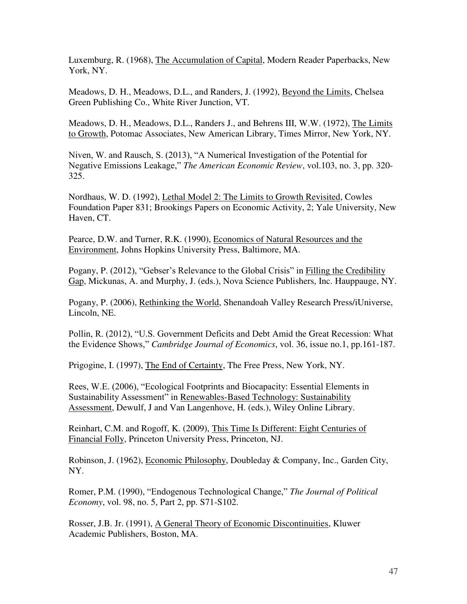Luxemburg, R. (1968), The Accumulation of Capital, Modern Reader Paperbacks, New York, NY.

Meadows, D. H., Meadows, D.L., and Randers, J. (1992), Beyond the Limits, Chelsea Green Publishing Co., White River Junction, VT.

Meadows, D. H., Meadows, D.L., Randers J., and Behrens III, W.W. (1972), The Limits to Growth, Potomac Associates, New American Library, Times Mirror, New York, NY.

Niven, W. and Rausch, S. (2013), "A Numerical Investigation of the Potential for Negative Emissions Leakage," *The American Economic Review*, vol.103, no. 3, pp. 320- 325.

Nordhaus, W. D. (1992), Lethal Model 2: The Limits to Growth Revisited, Cowles Foundation Paper 831; Brookings Papers on Economic Activity, 2; Yale University, New Haven, CT.

Pearce, D.W. and Turner, R.K. (1990), Economics of Natural Resources and the Environment, Johns Hopkins University Press, Baltimore, MA.

Pogany, P. (2012), "Gebser's Relevance to the Global Crisis" in Filling the Credibility Gap, Mickunas, A. and Murphy, J. (eds.), Nova Science Publishers, Inc. Hauppauge, NY.

Pogany, P. (2006), Rethinking the World, Shenandoah Valley Research Press/iUniverse, Lincoln, NE.

Pollin, R. (2012), "U.S. Government Deficits and Debt Amid the Great Recession: What the Evidence Shows," *Cambridge Journal of Economics*, vol. 36, issue no.1, pp.161-187.

Prigogine, I. (1997), The End of Certainty, The Free Press, New York, NY.

Rees, W.E. (2006), "Ecological Footprints and Biocapacity: Essential Elements in Sustainability Assessment" in Renewables-Based Technology: Sustainability Assessment, Dewulf, J and Van Langenhove, H. (eds.), Wiley Online Library.

Reinhart, C.M. and Rogoff, K. (2009), This Time Is Different: Eight Centuries of Financial Folly, Princeton University Press, Princeton, NJ.

Robinson, J. (1962), Economic Philosophy, Doubleday & Company, Inc., Garden City, NY.

Romer, P.M. (1990), "Endogenous Technological Change," *The Journal of Political Economy*, vol. 98, no. 5, Part 2, pp. S71-S102.

Rosser, J.B. Jr. (1991), A General Theory of Economic Discontinuities, Kluwer Academic Publishers, Boston, MA.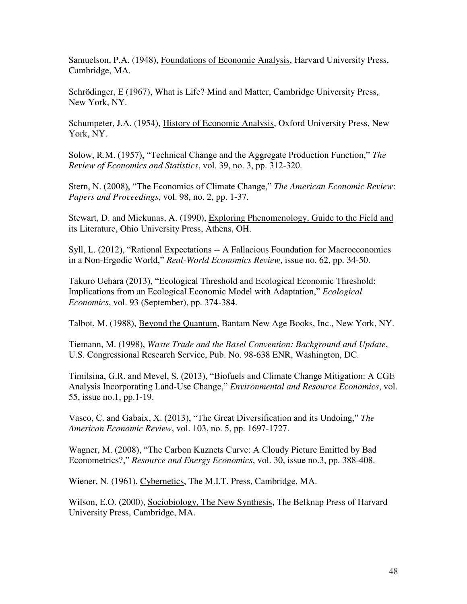Samuelson, P.A. (1948), Foundations of Economic Analysis, Harvard University Press, Cambridge, MA.

Schrödinger, E (1967), What is Life? Mind and Matter, Cambridge University Press, New York, NY.

Schumpeter, J.A. (1954), History of Economic Analysis, Oxford University Press, New York, NY.

Solow, R.M. (1957), "Technical Change and the Aggregate Production Function," *The Review of Economics and Statistics*, vol. 39, no. 3, pp. 312-320.

Stern, N. (2008), "The Economics of Climate Change," *The American Economic Review*: *Papers and Proceedings*, vol. 98, no. 2, pp. 1-37.

Stewart, D. and Mickunas, A. (1990), Exploring Phenomenology, Guide to the Field and its Literature, Ohio University Press, Athens, OH.

Syll, L. (2012), "Rational Expectations -- A Fallacious Foundation for Macroeconomics in a Non-Ergodic World," *Real-World Economics Review*, issue no. 62, pp. 34-50.

Takuro Uehara (2013), "Ecological Threshold and Ecological Economic Threshold: Implications from an Ecological Economic Model with Adaptation," *Ecological Economics*, vol. 93 (September), pp. 374-384.

Talbot, M. (1988), Beyond the Quantum, Bantam New Age Books, Inc., New York, NY.

Tiemann, M. (1998), *Waste Trade and the Basel Convention: Background and Update*, U.S. Congressional Research Service, Pub. No. 98-638 ENR, Washington, DC.

Timilsina, G.R. and Mevel, S. (2013), "Biofuels and Climate Change Mitigation: A CGE Analysis Incorporating Land-Use Change," *Environmental and Resource Economics*, vol. 55, issue no.1, pp.1-19.

Vasco, C. and Gabaix, X. (2013), "The Great Diversification and its Undoing," *The American Economic Review*, vol. 103, no. 5, pp. 1697-1727.

Wagner, M. (2008), "The Carbon Kuznets Curve: A Cloudy Picture Emitted by Bad Econometrics?," *Resource and Energy Economics*, vol. 30, issue no.3, pp. 388-408.

Wiener, N. (1961), Cybernetics, The M.I.T. Press, Cambridge, MA.

Wilson, E.O. (2000), Sociobiology, The New Synthesis, The Belknap Press of Harvard University Press, Cambridge, MA.